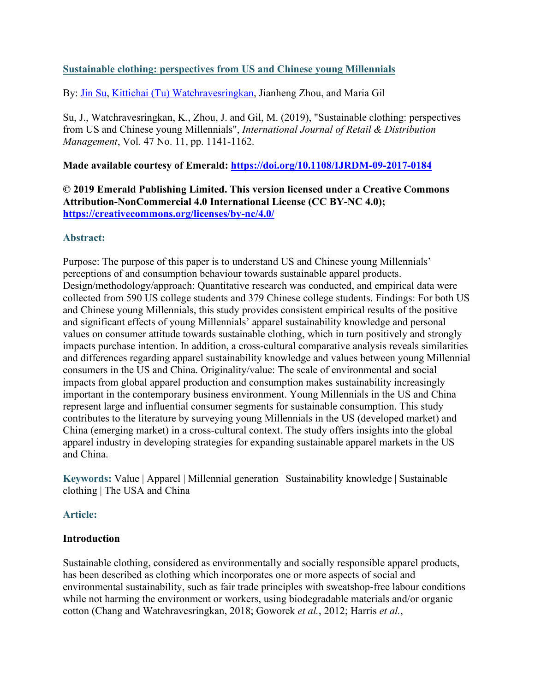# **Sustainable clothing: perspectives from US and Chinese young Millennials**

By: [Jin Su,](http://libres.uncg.edu/ir/uncg/clist.aspx?id=13707) [Kittichai \(Tu\) Watchravesringkan,](http://libres.uncg.edu/ir/uncg/clist.aspx?id=1201) Jianheng Zhou, and Maria Gil

Su, J., Watchravesringkan, K., Zhou, J. and Gil, M. (2019), "Sustainable clothing: perspectives from US and Chinese young Millennials", *International Journal of Retail & Distribution Management*, Vol. 47 No. 11, pp. 1141-1162.

# **Made available courtesy of Emerald:<https://doi.org/10.1108/IJRDM-09-2017-0184>**

**© 2019 Emerald Publishing Limited. This version licensed under a Creative Commons Attribution-NonCommercial 4.0 International License (CC BY-NC 4.0); <https://creativecommons.org/licenses/by-nc/4.0/>**

## **Abstract:**

Purpose: The purpose of this paper is to understand US and Chinese young Millennials' perceptions of and consumption behaviour towards sustainable apparel products. Design/methodology/approach: Quantitative research was conducted, and empirical data were collected from 590 US college students and 379 Chinese college students. Findings: For both US and Chinese young Millennials, this study provides consistent empirical results of the positive and significant effects of young Millennials' apparel sustainability knowledge and personal values on consumer attitude towards sustainable clothing, which in turn positively and strongly impacts purchase intention. In addition, a cross-cultural comparative analysis reveals similarities and differences regarding apparel sustainability knowledge and values between young Millennial consumers in the US and China. Originality/value: The scale of environmental and social impacts from global apparel production and consumption makes sustainability increasingly important in the contemporary business environment. Young Millennials in the US and China represent large and influential consumer segments for sustainable consumption. This study contributes to the literature by surveying young Millennials in the US (developed market) and China (emerging market) in a cross-cultural context. The study offers insights into the global apparel industry in developing strategies for expanding sustainable apparel markets in the US and China.

**Keywords:** Value | Apparel | Millennial generation | Sustainability knowledge | Sustainable clothing | The USA and China

# **Article:**

# **Introduction**

Sustainable clothing, considered as environmentally and socially responsible apparel products, has been described as clothing which incorporates one or more aspects of social and environmental sustainability, such as fair trade principles with sweatshop-free labour conditions while not harming the environment or workers, using biodegradable materials and/or organic cotton (Chang and Watchravesringkan, 2018; Goworek *et al.*, 2012; Harris *et al.*,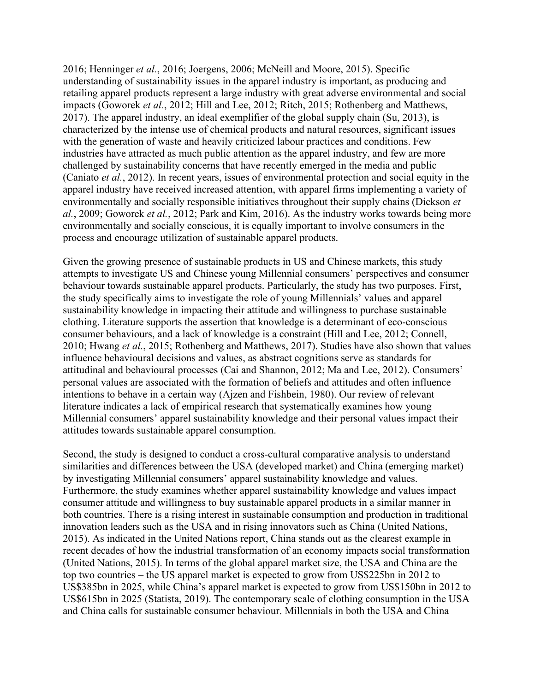2016; Henninger *et al.*, 2016; Joergens, 2006; McNeill and Moore, 2015). Specific understanding of sustainability issues in the apparel industry is important, as producing and retailing apparel products represent a large industry with great adverse environmental and social impacts (Goworek *et al.*, 2012; Hill and Lee, 2012; Ritch, 2015; Rothenberg and Matthews, 2017). The apparel industry, an ideal exemplifier of the global supply chain (Su, 2013), is characterized by the intense use of chemical products and natural resources, significant issues with the generation of waste and heavily criticized labour practices and conditions. Few industries have attracted as much public attention as the apparel industry, and few are more challenged by sustainability concerns that have recently emerged in the media and public (Caniato *et al.*, 2012). In recent years, issues of environmental protection and social equity in the apparel industry have received increased attention, with apparel firms implementing a variety of environmentally and socially responsible initiatives throughout their supply chains (Dickson *et al.*, 2009; Goworek *et al.*, 2012; Park and Kim, 2016). As the industry works towards being more environmentally and socially conscious, it is equally important to involve consumers in the process and encourage utilization of sustainable apparel products.

Given the growing presence of sustainable products in US and Chinese markets, this study attempts to investigate US and Chinese young Millennial consumers' perspectives and consumer behaviour towards sustainable apparel products. Particularly, the study has two purposes. First, the study specifically aims to investigate the role of young Millennials' values and apparel sustainability knowledge in impacting their attitude and willingness to purchase sustainable clothing. Literature supports the assertion that knowledge is a determinant of eco-conscious consumer behaviours, and a lack of knowledge is a constraint (Hill and Lee, 2012; Connell, 2010; Hwang *et al.*, 2015; Rothenberg and Matthews, 2017). Studies have also shown that values influence behavioural decisions and values, as abstract cognitions serve as standards for attitudinal and behavioural processes (Cai and Shannon, 2012; Ma and Lee, 2012). Consumers' personal values are associated with the formation of beliefs and attitudes and often influence intentions to behave in a certain way (Ajzen and Fishbein, 1980). Our review of relevant literature indicates a lack of empirical research that systematically examines how young Millennial consumers' apparel sustainability knowledge and their personal values impact their attitudes towards sustainable apparel consumption.

Second, the study is designed to conduct a cross-cultural comparative analysis to understand similarities and differences between the USA (developed market) and China (emerging market) by investigating Millennial consumers' apparel sustainability knowledge and values. Furthermore, the study examines whether apparel sustainability knowledge and values impact consumer attitude and willingness to buy sustainable apparel products in a similar manner in both countries. There is a rising interest in sustainable consumption and production in traditional innovation leaders such as the USA and in rising innovators such as China (United Nations, 2015). As indicated in the United Nations report, China stands out as the clearest example in recent decades of how the industrial transformation of an economy impacts social transformation (United Nations, 2015). In terms of the global apparel market size, the USA and China are the top two countries – the US apparel market is expected to grow from US\$225bn in 2012 to US\$385bn in 2025, while China's apparel market is expected to grow from US\$150bn in 2012 to US\$615bn in 2025 (Statista, 2019). The contemporary scale of clothing consumption in the USA and China calls for sustainable consumer behaviour. Millennials in both the USA and China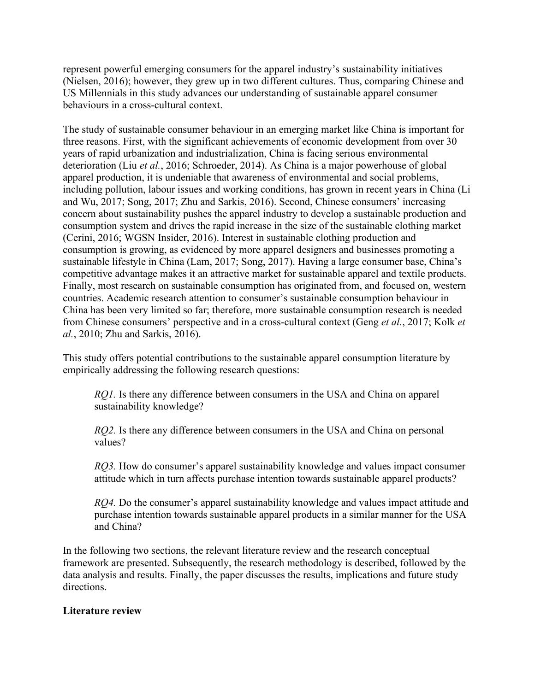represent powerful emerging consumers for the apparel industry's sustainability initiatives (Nielsen, 2016); however, they grew up in two different cultures. Thus, comparing Chinese and US Millennials in this study advances our understanding of sustainable apparel consumer behaviours in a cross-cultural context.

The study of sustainable consumer behaviour in an emerging market like China is important for three reasons. First, with the significant achievements of economic development from over 30 years of rapid urbanization and industrialization, China is facing serious environmental deterioration (Liu *et al.*, 2016; Schroeder, 2014). As China is a major powerhouse of global apparel production, it is undeniable that awareness of environmental and social problems, including pollution, labour issues and working conditions, has grown in recent years in China (Li and Wu, 2017; Song, 2017; Zhu and Sarkis, 2016). Second, Chinese consumers' increasing concern about sustainability pushes the apparel industry to develop a sustainable production and consumption system and drives the rapid increase in the size of the sustainable clothing market (Cerini, 2016; WGSN Insider, 2016). Interest in sustainable clothing production and consumption is growing, as evidenced by more apparel designers and businesses promoting a sustainable lifestyle in China (Lam, 2017; Song, 2017). Having a large consumer base, China's competitive advantage makes it an attractive market for sustainable apparel and textile products. Finally, most research on sustainable consumption has originated from, and focused on, western countries. Academic research attention to consumer's sustainable consumption behaviour in China has been very limited so far; therefore, more sustainable consumption research is needed from Chinese consumers' perspective and in a cross-cultural context (Geng *et al.*, 2017; Kolk *et al.*, 2010; Zhu and Sarkis, 2016).

This study offers potential contributions to the sustainable apparel consumption literature by empirically addressing the following research questions:

*RQ1.* Is there any difference between consumers in the USA and China on apparel sustainability knowledge?

*RQ2.* Is there any difference between consumers in the USA and China on personal values?

*RQ3.* How do consumer's apparel sustainability knowledge and values impact consumer attitude which in turn affects purchase intention towards sustainable apparel products?

*RQ4.* Do the consumer's apparel sustainability knowledge and values impact attitude and purchase intention towards sustainable apparel products in a similar manner for the USA and China?

In the following two sections, the relevant literature review and the research conceptual framework are presented. Subsequently, the research methodology is described, followed by the data analysis and results. Finally, the paper discusses the results, implications and future study directions.

## **Literature review**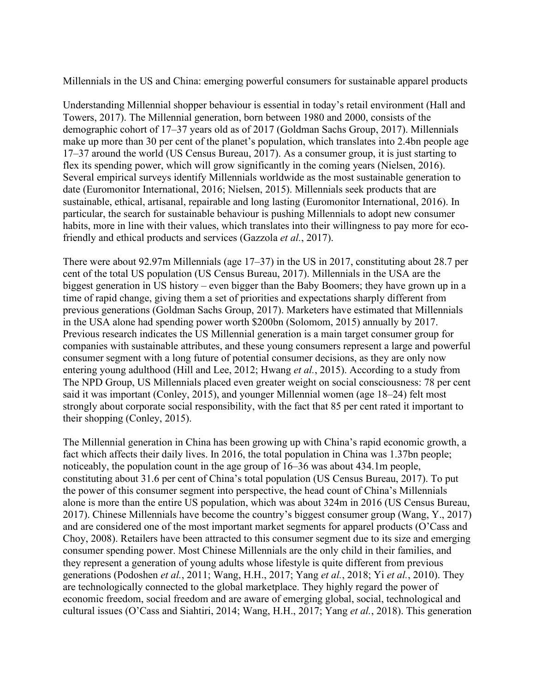Millennials in the US and China: emerging powerful consumers for sustainable apparel products

Understanding Millennial shopper behaviour is essential in today's retail environment (Hall and Towers, 2017). The Millennial generation, born between 1980 and 2000, consists of the demographic cohort of 17–37 years old as of 2017 (Goldman Sachs Group, 2017). Millennials make up more than 30 per cent of the planet's population, which translates into 2.4bn people age 17–37 around the world (US Census Bureau, 2017). As a consumer group, it is just starting to flex its spending power, which will grow significantly in the coming years (Nielsen, 2016). Several empirical surveys identify Millennials worldwide as the most sustainable generation to date (Euromonitor International, 2016; Nielsen, 2015). Millennials seek products that are sustainable, ethical, artisanal, repairable and long lasting (Euromonitor International, 2016). In particular, the search for sustainable behaviour is pushing Millennials to adopt new consumer habits, more in line with their values, which translates into their willingness to pay more for ecofriendly and ethical products and services (Gazzola *et al.*, 2017).

There were about 92.97m Millennials (age 17–37) in the US in 2017, constituting about 28.7 per cent of the total US population (US Census Bureau, 2017). Millennials in the USA are the biggest generation in US history – even bigger than the Baby Boomers; they have grown up in a time of rapid change, giving them a set of priorities and expectations sharply different from previous generations (Goldman Sachs Group, 2017). Marketers have estimated that Millennials in the USA alone had spending power worth \$200bn (Solomom, 2015) annually by 2017. Previous research indicates the US Millennial generation is a main target consumer group for companies with sustainable attributes, and these young consumers represent a large and powerful consumer segment with a long future of potential consumer decisions, as they are only now entering young adulthood (Hill and Lee, 2012; Hwang *et al.*, 2015). According to a study from The NPD Group, US Millennials placed even greater weight on social consciousness: 78 per cent said it was important (Conley, 2015), and younger Millennial women (age 18–24) felt most strongly about corporate social responsibility, with the fact that 85 per cent rated it important to their shopping (Conley, 2015).

The Millennial generation in China has been growing up with China's rapid economic growth, a fact which affects their daily lives. In 2016, the total population in China was 1.37bn people; noticeably, the population count in the age group of 16–36 was about 434.1m people, constituting about 31.6 per cent of China's total population (US Census Bureau, 2017). To put the power of this consumer segment into perspective, the head count of China's Millennials alone is more than the entire US population, which was about 324m in 2016 (US Census Bureau, 2017). Chinese Millennials have become the country's biggest consumer group (Wang, Y., 2017) and are considered one of the most important market segments for apparel products (O'Cass and Choy, 2008). Retailers have been attracted to this consumer segment due to its size and emerging consumer spending power. Most Chinese Millennials are the only child in their families, and they represent a generation of young adults whose lifestyle is quite different from previous generations (Podoshen *et al.*, 2011; Wang, H.H., 2017; Yang *et al.*, 2018; Yi *et al.*, 2010). They are technologically connected to the global marketplace. They highly regard the power of economic freedom, social freedom and are aware of emerging global, social, technological and cultural issues (O'Cass and Siahtiri, 2014; Wang, H.H., 2017; Yang *et al.*, 2018). This generation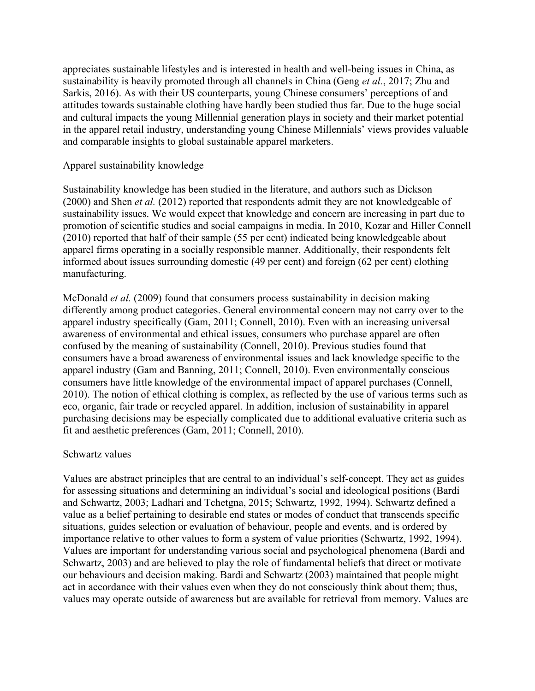appreciates sustainable lifestyles and is interested in health and well-being issues in China, as sustainability is heavily promoted through all channels in China (Geng *et al.*, 2017; Zhu and Sarkis, 2016). As with their US counterparts, young Chinese consumers' perceptions of and attitudes towards sustainable clothing have hardly been studied thus far. Due to the huge social and cultural impacts the young Millennial generation plays in society and their market potential in the apparel retail industry, understanding young Chinese Millennials' views provides valuable and comparable insights to global sustainable apparel marketers.

### Apparel sustainability knowledge

Sustainability knowledge has been studied in the literature, and authors such as Dickson (2000) and Shen *et al.* (2012) reported that respondents admit they are not knowledgeable of sustainability issues. We would expect that knowledge and concern are increasing in part due to promotion of scientific studies and social campaigns in media. In 2010, Kozar and Hiller Connell (2010) reported that half of their sample (55 per cent) indicated being knowledgeable about apparel firms operating in a socially responsible manner. Additionally, their respondents felt informed about issues surrounding domestic (49 per cent) and foreign (62 per cent) clothing manufacturing.

McDonald *et al.* (2009) found that consumers process sustainability in decision making differently among product categories. General environmental concern may not carry over to the apparel industry specifically (Gam, 2011; Connell, 2010). Even with an increasing universal awareness of environmental and ethical issues, consumers who purchase apparel are often confused by the meaning of sustainability (Connell, 2010). Previous studies found that consumers have a broad awareness of environmental issues and lack knowledge specific to the apparel industry (Gam and Banning, 2011; Connell, 2010). Even environmentally conscious consumers have little knowledge of the environmental impact of apparel purchases (Connell, 2010). The notion of ethical clothing is complex, as reflected by the use of various terms such as eco, organic, fair trade or recycled apparel. In addition, inclusion of sustainability in apparel purchasing decisions may be especially complicated due to additional evaluative criteria such as fit and aesthetic preferences (Gam, 2011; Connell, 2010).

## Schwartz values

Values are abstract principles that are central to an individual's self-concept. They act as guides for assessing situations and determining an individual's social and ideological positions (Bardi and Schwartz, 2003; Ladhari and Tchetgna, 2015; Schwartz, 1992, 1994). Schwartz defined a value as a belief pertaining to desirable end states or modes of conduct that transcends specific situations, guides selection or evaluation of behaviour, people and events, and is ordered by importance relative to other values to form a system of value priorities (Schwartz, 1992, 1994). Values are important for understanding various social and psychological phenomena (Bardi and Schwartz, 2003) and are believed to play the role of fundamental beliefs that direct or motivate our behaviours and decision making. Bardi and Schwartz (2003) maintained that people might act in accordance with their values even when they do not consciously think about them; thus, values may operate outside of awareness but are available for retrieval from memory. Values are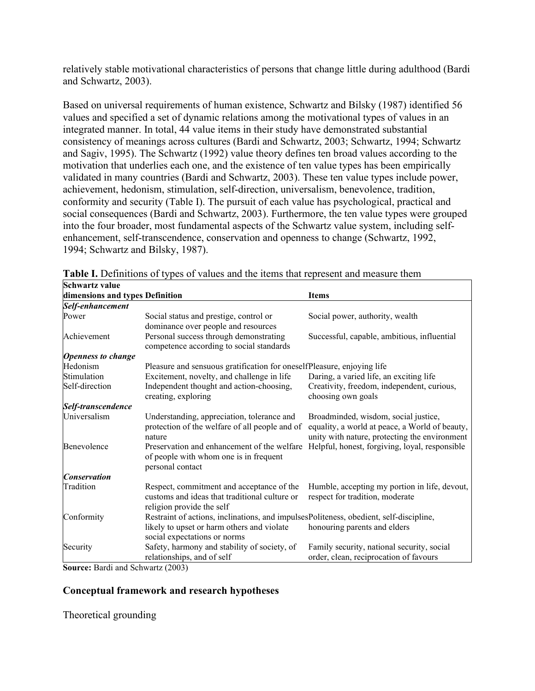relatively stable motivational characteristics of persons that change little during adulthood (Bardi and Schwartz, 2003).

Based on universal requirements of human existence, Schwartz and Bilsky (1987) identified 56 values and specified a set of dynamic relations among the motivational types of values in an integrated manner. In total, 44 value items in their study have demonstrated substantial consistency of meanings across cultures (Bardi and Schwartz, 2003; Schwartz, 1994; Schwartz and Sagiv, 1995). The Schwartz (1992) value theory defines ten broad values according to the motivation that underlies each one, and the existence of ten value types has been empirically validated in many countries (Bardi and Schwartz, 2003). These ten value types include power, achievement, hedonism, stimulation, self-direction, universalism, benevolence, tradition, conformity and security (Table I). The pursuit of each value has psychological, practical and social consequences (Bardi and Schwartz, 2003). Furthermore, the ten value types were grouped into the four broader, most fundamental aspects of the Schwartz value system, including selfenhancement, self-transcendence, conservation and openness to change (Schwartz, 1992, 1994; Schwartz and Bilsky, 1987).

| dimensions and types Definition |                                                                                                                         | <b>Items</b>                                                                                                                            |  |  |  |
|---------------------------------|-------------------------------------------------------------------------------------------------------------------------|-----------------------------------------------------------------------------------------------------------------------------------------|--|--|--|
| Self-enhancement                |                                                                                                                         |                                                                                                                                         |  |  |  |
| Power                           | Social status and prestige, control or<br>dominance over people and resources                                           | Social power, authority, wealth                                                                                                         |  |  |  |
| Achievement                     | Personal success through demonstrating<br>competence according to social standards                                      | Successful, capable, ambitious, influential                                                                                             |  |  |  |
| <b>Openness to change</b>       |                                                                                                                         |                                                                                                                                         |  |  |  |
| Hedonism                        | Pleasure and sensuous gratification for oneselfPleasure, enjoying life                                                  |                                                                                                                                         |  |  |  |
| Stimulation                     | Excitement, novelty, and challenge in life                                                                              | Daring, a varied life, an exciting life                                                                                                 |  |  |  |
| Self-direction                  | Independent thought and action-choosing,<br>creating, exploring                                                         | Creativity, freedom, independent, curious,<br>choosing own goals                                                                        |  |  |  |
| Self-transcendence              |                                                                                                                         |                                                                                                                                         |  |  |  |
| Universalism                    | Understanding, appreciation, tolerance and<br>protection of the welfare of all people and of<br>nature                  | Broadminded, wisdom, social justice,<br>equality, a world at peace, a World of beauty,<br>unity with nature, protecting the environment |  |  |  |
| Benevolence                     | Preservation and enhancement of the welfare<br>of people with whom one is in frequent<br>personal contact               | Helpful, honest, forgiving, loyal, responsible                                                                                          |  |  |  |
| <b>Conservation</b>             |                                                                                                                         |                                                                                                                                         |  |  |  |
| Tradition                       | Respect, commitment and acceptance of the<br>customs and ideas that traditional culture or<br>religion provide the self | Humble, accepting my portion in life, devout,<br>respect for tradition, moderate                                                        |  |  |  |
| Conformity                      | Restraint of actions, inclinations, and impulsesPoliteness, obedient, self-discipline,                                  |                                                                                                                                         |  |  |  |
|                                 | likely to upset or harm others and violate<br>social expectations or norms                                              | honouring parents and elders                                                                                                            |  |  |  |
| Security                        | Safety, harmony and stability of society, of<br>relationships, and of self                                              | Family security, national security, social<br>order, clean, reciprocation of favours                                                    |  |  |  |

Table I. Definitions of types of values and the items that represent and measure them **Schwartz value** 

**Source:** Bardi and Schwartz (2003)

## **Conceptual framework and research hypotheses**

Theoretical grounding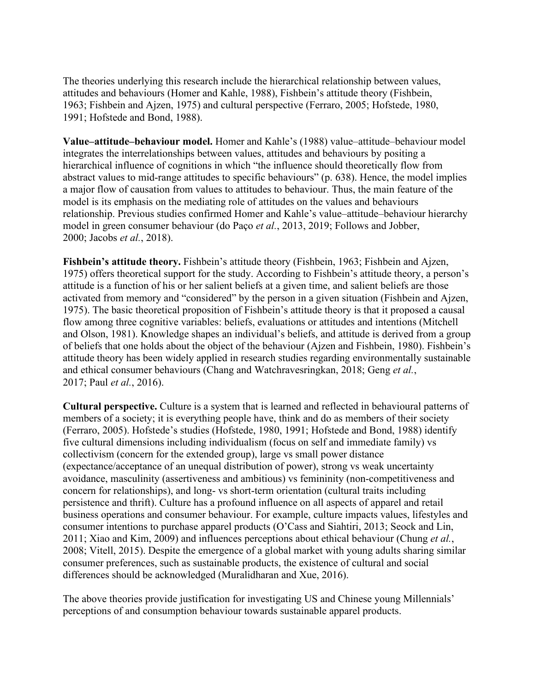The theories underlying this research include the hierarchical relationship between values, attitudes and behaviours (Homer and Kahle, 1988), Fishbein's attitude theory (Fishbein, 1963; Fishbein and Ajzen, 1975) and cultural perspective (Ferraro, 2005; Hofstede, 1980, 1991; Hofstede and Bond, 1988).

**Value–attitude–behaviour model.** Homer and Kahle's (1988) value–attitude–behaviour model integrates the interrelationships between values, attitudes and behaviours by positing a hierarchical influence of cognitions in which "the influence should theoretically flow from abstract values to mid-range attitudes to specific behaviours" (p. 638). Hence, the model implies a major flow of causation from values to attitudes to behaviour. Thus, the main feature of the model is its emphasis on the mediating role of attitudes on the values and behaviours relationship. Previous studies confirmed Homer and Kahle's value–attitude–behaviour hierarchy model in green consumer behaviour (do Paço *et al.*, 2013, 2019; Follows and Jobber, 2000; Jacobs *et al.*, 2018).

**Fishbein's attitude theory.** Fishbein's attitude theory (Fishbein, 1963; Fishbein and Ajzen, 1975) offers theoretical support for the study. According to Fishbein's attitude theory, a person's attitude is a function of his or her salient beliefs at a given time, and salient beliefs are those activated from memory and "considered" by the person in a given situation (Fishbein and Ajzen, 1975). The basic theoretical proposition of Fishbein's attitude theory is that it proposed a causal flow among three cognitive variables: beliefs, evaluations or attitudes and intentions (Mitchell and Olson, 1981). Knowledge shapes an individual's beliefs, and attitude is derived from a group of beliefs that one holds about the object of the behaviour (Ajzen and Fishbein, 1980). Fishbein's attitude theory has been widely applied in research studies regarding environmentally sustainable and ethical consumer behaviours (Chang and Watchravesringkan, 2018; Geng *et al.*, 2017; Paul *et al.*, 2016).

**Cultural perspective.** Culture is a system that is learned and reflected in behavioural patterns of members of a society; it is everything people have, think and do as members of their society (Ferraro, 2005). Hofstede's studies (Hofstede, 1980, 1991; Hofstede and Bond, 1988) identify five cultural dimensions including individualism (focus on self and immediate family) vs collectivism (concern for the extended group), large vs small power distance (expectance/acceptance of an unequal distribution of power), strong vs weak uncertainty avoidance, masculinity (assertiveness and ambitious) vs femininity (non-competitiveness and concern for relationships), and long- vs short-term orientation (cultural traits including persistence and thrift). Culture has a profound influence on all aspects of apparel and retail business operations and consumer behaviour. For example, culture impacts values, lifestyles and consumer intentions to purchase apparel products (O'Cass and Siahtiri, 2013; Seock and Lin, 2011; Xiao and Kim, 2009) and influences perceptions about ethical behaviour (Chung *et al.*, 2008; Vitell, 2015). Despite the emergence of a global market with young adults sharing similar consumer preferences, such as sustainable products, the existence of cultural and social differences should be acknowledged (Muralidharan and Xue, 2016).

The above theories provide justification for investigating US and Chinese young Millennials' perceptions of and consumption behaviour towards sustainable apparel products.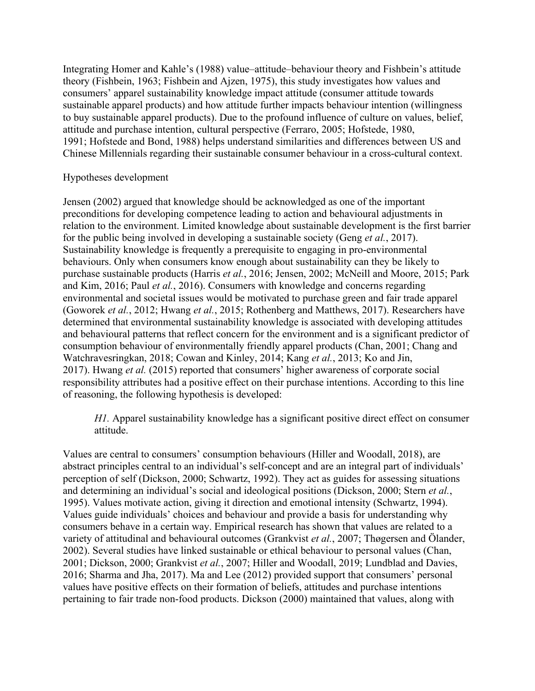Integrating Homer and Kahle's (1988) value–attitude–behaviour theory and Fishbein's attitude theory (Fishbein, 1963; Fishbein and Ajzen, 1975), this study investigates how values and consumers' apparel sustainability knowledge impact attitude (consumer attitude towards sustainable apparel products) and how attitude further impacts behaviour intention (willingness to buy sustainable apparel products). Due to the profound influence of culture on values, belief, attitude and purchase intention, cultural perspective (Ferraro, 2005; Hofstede, 1980, 1991; Hofstede and Bond, 1988) helps understand similarities and differences between US and Chinese Millennials regarding their sustainable consumer behaviour in a cross-cultural context.

## Hypotheses development

Jensen (2002) argued that knowledge should be acknowledged as one of the important preconditions for developing competence leading to action and behavioural adjustments in relation to the environment. Limited knowledge about sustainable development is the first barrier for the public being involved in developing a sustainable society (Geng *et al.*, 2017). Sustainability knowledge is frequently a prerequisite to engaging in pro-environmental behaviours. Only when consumers know enough about sustainability can they be likely to purchase sustainable products (Harris *et al.*, 2016; Jensen, 2002; McNeill and Moore, 2015; Park and Kim, 2016; Paul *et al.*, 2016). Consumers with knowledge and concerns regarding environmental and societal issues would be motivated to purchase green and fair trade apparel (Goworek *et al.*, 2012; Hwang *et al.*, 2015; Rothenberg and Matthews, 2017). Researchers have determined that environmental sustainability knowledge is associated with developing attitudes and behavioural patterns that reflect concern for the environment and is a significant predictor of consumption behaviour of environmentally friendly apparel products (Chan, 2001; Chang and Watchravesringkan, 2018; Cowan and Kinley, 2014; Kang *et al.*, 2013; Ko and Jin, 2017). Hwang *et al.* (2015) reported that consumers' higher awareness of corporate social responsibility attributes had a positive effect on their purchase intentions. According to this line of reasoning, the following hypothesis is developed:

*H1.* Apparel sustainability knowledge has a significant positive direct effect on consumer attitude.

Values are central to consumers' consumption behaviours (Hiller and Woodall, 2018), are abstract principles central to an individual's self-concept and are an integral part of individuals' perception of self (Dickson, 2000; Schwartz, 1992). They act as guides for assessing situations and determining an individual's social and ideological positions (Dickson, 2000; Stern *et al.*, 1995). Values motivate action, giving it direction and emotional intensity (Schwartz, 1994). Values guide individuals' choices and behaviour and provide a basis for understanding why consumers behave in a certain way. Empirical research has shown that values are related to a variety of attitudinal and behavioural outcomes (Grankvist *et al.*, 2007; Thøgersen and Ölander, 2002). Several studies have linked sustainable or ethical behaviour to personal values (Chan, 2001; Dickson, 2000; Grankvist *et al.*, 2007; Hiller and Woodall, 2019; Lundblad and Davies, 2016; Sharma and Jha, 2017). Ma and Lee (2012) provided support that consumers' personal values have positive effects on their formation of beliefs, attitudes and purchase intentions pertaining to fair trade non-food products. Dickson (2000) maintained that values, along with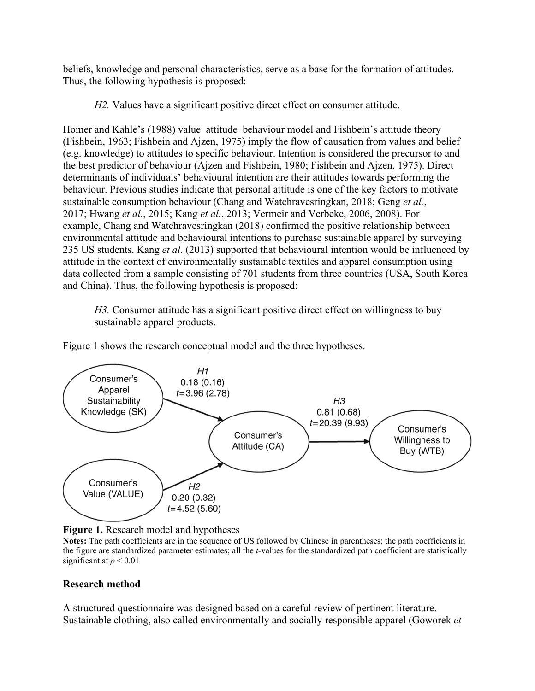beliefs, knowledge and personal characteristics, serve as a base for the formation of attitudes. Thus, the following hypothesis is proposed:

*H2.* Values have a significant positive direct effect on consumer attitude.

Homer and Kahle's (1988) value–attitude–behaviour model and Fishbein's attitude theory (Fishbein, 1963; Fishbein and Ajzen, 1975) imply the flow of causation from values and belief (e.g. knowledge) to attitudes to specific behaviour. Intention is considered the precursor to and the best predictor of behaviour (Ajzen and Fishbein, 1980; Fishbein and Ajzen, 1975). Direct determinants of individuals' behavioural intention are their attitudes towards performing the behaviour. Previous studies indicate that personal attitude is one of the key factors to motivate sustainable consumption behaviour (Chang and Watchravesringkan, 2018; Geng *et al.*, 2017; Hwang *et al.*, 2015; Kang *et al.*, 2013; Vermeir and Verbeke, 2006, 2008). For example, Chang and Watchravesringkan (2018) confirmed the positive relationship between environmental attitude and behavioural intentions to purchase sustainable apparel by surveying 235 US students. Kang *et al.* (2013) supported that behavioural intention would be influenced by attitude in the context of environmentally sustainable textiles and apparel consumption using data collected from a sample consisting of 701 students from three countries (USA, South Korea and China). Thus, the following hypothesis is proposed:

*H3.* Consumer attitude has a significant positive direct effect on willingness to buy sustainable apparel products.

Figure 1 shows the research conceptual model and the three hypotheses.





**Notes:** The path coefficients are in the sequence of US followed by Chinese in parentheses; the path coefficients in the figure are standardized parameter estimates; all the *t-*values for the standardized path coefficient are statistically significant at  $p < 0.01$ 

# **Research method**

A structured questionnaire was designed based on a careful review of pertinent literature. Sustainable clothing, also called environmentally and socially responsible apparel (Goworek *et*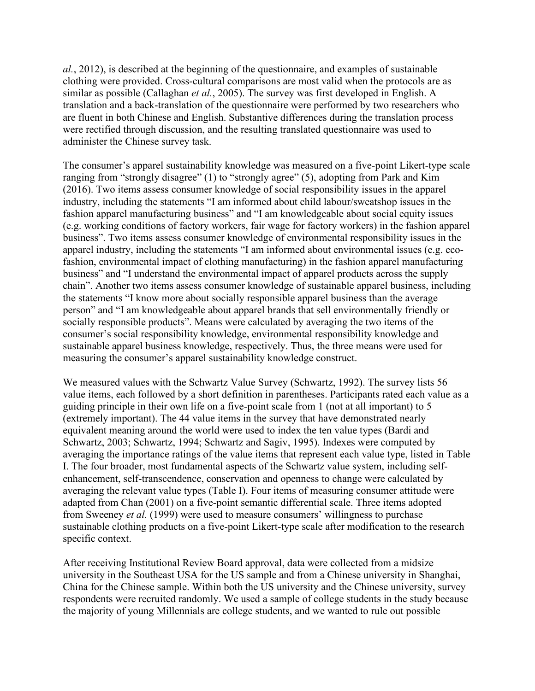*al.*, 2012), is described at the beginning of the questionnaire, and examples of sustainable clothing were provided. Cross-cultural comparisons are most valid when the protocols are as similar as possible (Callaghan *et al.*, 2005). The survey was first developed in English. A translation and a back-translation of the questionnaire were performed by two researchers who are fluent in both Chinese and English. Substantive differences during the translation process were rectified through discussion, and the resulting translated questionnaire was used to administer the Chinese survey task.

The consumer's apparel sustainability knowledge was measured on a five-point Likert-type scale ranging from "strongly disagree" (1) to "strongly agree" (5), adopting from Park and Kim (2016). Two items assess consumer knowledge of social responsibility issues in the apparel industry, including the statements "I am informed about child labour/sweatshop issues in the fashion apparel manufacturing business" and "I am knowledgeable about social equity issues (e.g. working conditions of factory workers, fair wage for factory workers) in the fashion apparel business". Two items assess consumer knowledge of environmental responsibility issues in the apparel industry, including the statements "I am informed about environmental issues (e.g. ecofashion, environmental impact of clothing manufacturing) in the fashion apparel manufacturing business" and "I understand the environmental impact of apparel products across the supply chain". Another two items assess consumer knowledge of sustainable apparel business, including the statements "I know more about socially responsible apparel business than the average person" and "I am knowledgeable about apparel brands that sell environmentally friendly or socially responsible products". Means were calculated by averaging the two items of the consumer's social responsibility knowledge, environmental responsibility knowledge and sustainable apparel business knowledge, respectively. Thus, the three means were used for measuring the consumer's apparel sustainability knowledge construct.

We measured values with the Schwartz Value Survey (Schwartz, 1992). The survey lists 56 value items, each followed by a short definition in parentheses. Participants rated each value as a guiding principle in their own life on a five-point scale from 1 (not at all important) to 5 (extremely important). The 44 value items in the survey that have demonstrated nearly equivalent meaning around the world were used to index the ten value types (Bardi and Schwartz, 2003; Schwartz, 1994; Schwartz and Sagiv, 1995). Indexes were computed by averaging the importance ratings of the value items that represent each value type, listed in Table I. The four broader, most fundamental aspects of the Schwartz value system, including selfenhancement, self-transcendence, conservation and openness to change were calculated by averaging the relevant value types (Table I). Four items of measuring consumer attitude were adapted from Chan (2001) on a five-point semantic differential scale. Three items adopted from Sweeney *et al.* (1999) were used to measure consumers' willingness to purchase sustainable clothing products on a five-point Likert-type scale after modification to the research specific context.

After receiving Institutional Review Board approval, data were collected from a midsize university in the Southeast USA for the US sample and from a Chinese university in Shanghai, China for the Chinese sample. Within both the US university and the Chinese university, survey respondents were recruited randomly. We used a sample of college students in the study because the majority of young Millennials are college students, and we wanted to rule out possible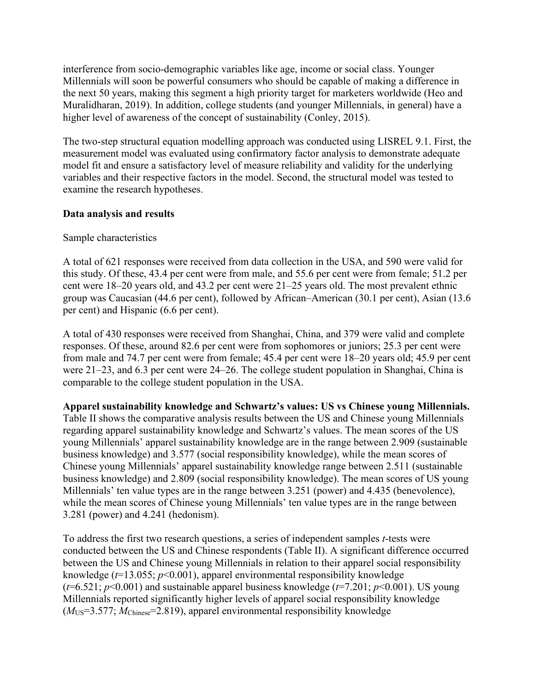interference from socio-demographic variables like age, income or social class. Younger Millennials will soon be powerful consumers who should be capable of making a difference in the next 50 years, making this segment a high priority target for marketers worldwide (Heo and Muralidharan, 2019). In addition, college students (and younger Millennials, in general) have a higher level of awareness of the concept of sustainability (Conley, 2015).

The two-step structural equation modelling approach was conducted using LISREL 9.1. First, the measurement model was evaluated using confirmatory factor analysis to demonstrate adequate model fit and ensure a satisfactory level of measure reliability and validity for the underlying variables and their respective factors in the model. Second, the structural model was tested to examine the research hypotheses.

# **Data analysis and results**

## Sample characteristics

A total of 621 responses were received from data collection in the USA, and 590 were valid for this study. Of these, 43.4 per cent were from male, and 55.6 per cent were from female; 51.2 per cent were 18–20 years old, and 43.2 per cent were 21–25 years old. The most prevalent ethnic group was Caucasian (44.6 per cent), followed by African–American (30.1 per cent), Asian (13.6 per cent) and Hispanic (6.6 per cent).

A total of 430 responses were received from Shanghai, China, and 379 were valid and complete responses. Of these, around 82.6 per cent were from sophomores or juniors; 25.3 per cent were from male and 74.7 per cent were from female; 45.4 per cent were 18–20 years old; 45.9 per cent were 21–23, and 6.3 per cent were 24–26. The college student population in Shanghai, China is comparable to the college student population in the USA.

**Apparel sustainability knowledge and Schwartz's values: US vs Chinese young Millennials.**  Table II shows the comparative analysis results between the US and Chinese young Millennials regarding apparel sustainability knowledge and Schwartz's values. The mean scores of the US young Millennials' apparel sustainability knowledge are in the range between 2.909 (sustainable business knowledge) and 3.577 (social responsibility knowledge), while the mean scores of Chinese young Millennials' apparel sustainability knowledge range between 2.511 (sustainable business knowledge) and 2.809 (social responsibility knowledge). The mean scores of US young Millennials' ten value types are in the range between 3.251 (power) and 4.435 (benevolence). while the mean scores of Chinese young Millennials' ten value types are in the range between 3.281 (power) and 4.241 (hedonism).

To address the first two research questions, a series of independent samples *t*-tests were conducted between the US and Chinese respondents (Table II). A significant difference occurred between the US and Chinese young Millennials in relation to their apparel social responsibility knowledge (*t*=13.055; *p*<0.001), apparel environmental responsibility knowledge  $(t=6.521; p<0.001)$  and sustainable apparel business knowledge  $(t=7.201; p<0.001)$ . US young Millennials reported significantly higher levels of apparel social responsibility knowledge (*M*US=3.577; *M*Chinese=2.819), apparel environmental responsibility knowledge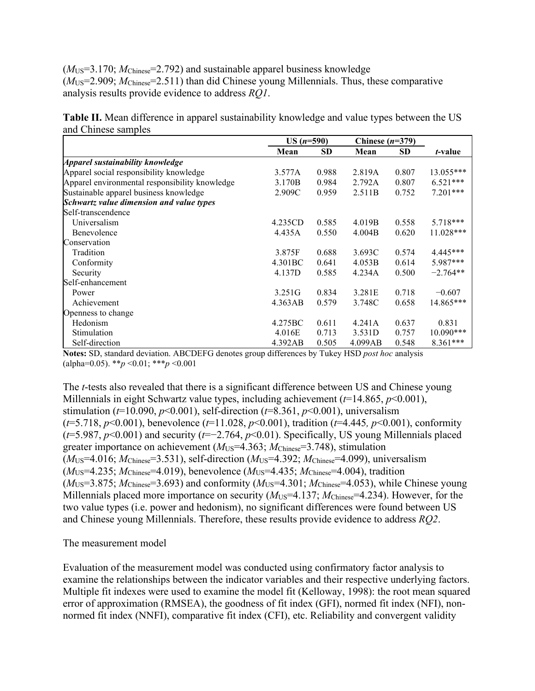(*M*US=3.170; *M*Chinese=2.792) and sustainable apparel business knowledge ( $M_{US}$ =2.909;  $M_{Chinese}$ =2.511) than did Chinese young Millennials. Thus, these comparative analysis results provide evidence to address *RQ1*.

**Table II.** Mean difference in apparel sustainability knowledge and value types between the US and Chinese samples

|                                                | $US (n=590)$        |           | Chinese $(n=379)$ |           |                 |
|------------------------------------------------|---------------------|-----------|-------------------|-----------|-----------------|
|                                                | Mean                | <b>SD</b> | Mean              | <b>SD</b> | <i>t</i> -value |
| Apparel sustainability knowledge               |                     |           |                   |           |                 |
| Apparel social responsibility knowledge        | 3.577A              | 0.988     | 2.819A            | 0.807     | 13.055***       |
| Apparel environmental responsibility knowledge | 3.170B              | 0.984     | 2.792A            | 0.807     | $6.521***$      |
| Sustainable apparel business knowledge         | 2.909C              | 0.959     | 2.511B            | 0.752     | $7.201***$      |
| Schwartz value dimension and value types       |                     |           |                   |           |                 |
| Self-transcendence                             |                     |           |                   |           |                 |
| Universalism                                   | 4.235CD             | 0.585     | 4.019B            | 0.558     | $5.718***$      |
| Benevolence                                    | 4.435A              | 0.550     | 4.004B            | 0.620     | 11.028***       |
| Conservation                                   |                     |           |                   |           |                 |
| Tradition                                      | 3.875F              | 0.688     | 3.693C            | 0.574     | $4.445***$      |
| Conformity                                     | 4.301 <sub>BC</sub> | 0.641     | 4.053B            | 0.614     | 5.987***        |
| Security                                       | 4.137D              | 0.585     | 4.234A            | 0.500     | $-2.764**$      |
| Self-enhancement                               |                     |           |                   |           |                 |
| Power                                          | 3.251G              | 0.834     | 3.281E            | 0.718     | $-0.607$        |
| Achievement                                    | 4.363AB             | 0.579     | 3.748C            | 0.658     | 14.865***       |
| Openness to change                             |                     |           |                   |           |                 |
| Hedonism                                       | 4.275BC             | 0.611     | 4.241A            | 0.637     | 0.831           |
| Stimulation                                    | 4.016E              | 0.713     | 3.531D            | 0.757     | 10.090***       |
| Self-direction                                 | 4.392AB             | 0.505     | 4.099AB           | 0.548     | $8.361***$      |

**Notes:** SD, standard deviation. ABCDEFG denotes group differences by Tukey HSD *post hoc* analysis (alpha=0.05). \*\**p* <0.01; \*\*\**p* <0.001

The *t*-tests also revealed that there is a significant difference between US and Chinese young Millennials in eight Schwartz value types, including achievement (*t*=14.865, *p*<0.001), stimulation ( $t=10.090, p<0.001$ ), self-direction ( $t=8.361, p<0.001$ ), universalism (*t*=5.718, *p*<0.001), benevolence (*t*=11.028, *p*<0.001), tradition (*t*=4.445*, p*<0.001), conformity (*t*=5.987, *p*<0.001) and security (*t*=−2.764, *p*<0.01). Specifically, US young Millennials placed greater importance on achievement ( $M_{US}$ =4.363;  $M_{Chinese}$ =3.748), stimulation (*M*US=4.016; *M*Chinese=3.531), self-direction (*M*US=4.392; *M*Chinese=4.099), universalism  $(M_{US} = 4.235; M_{Chines} = 4.019)$ , benevolence  $(M_{US} = 4.435; M_{Chines} = 4.004)$ , tradition  $(M_{US}=3.875; M_{Chinese}=3.693)$  and conformity  $(M_{US}=4.301; M_{Chinese}=4.053)$ , while Chinese young Millennials placed more importance on security ( $M_{US}$ =4.137;  $M_{Chines}$ =4.234). However, for the two value types (i.e. power and hedonism), no significant differences were found between US and Chinese young Millennials. Therefore, these results provide evidence to address *RQ2*.

## The measurement model

Evaluation of the measurement model was conducted using confirmatory factor analysis to examine the relationships between the indicator variables and their respective underlying factors. Multiple fit indexes were used to examine the model fit (Kelloway, 1998): the root mean squared error of approximation (RMSEA), the goodness of fit index (GFI), normed fit index (NFI), nonnormed fit index (NNFI), comparative fit index (CFI), etc. Reliability and convergent validity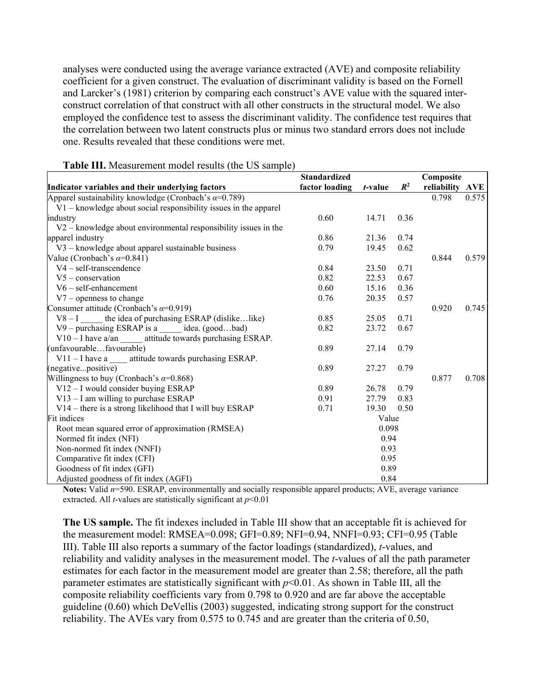analyses were conducted using the average variance extracted (AVE) and composite reliability coefficient for a given construct. The evaluation of discriminant validity is based on the Fornell and Larcker's (1981) criterion by comparing each construct's AVE value with the squared interconstruct correlation of that construct with all other constructs in the structural model. We also employed the confidence test to assess the discriminant validity. The confidence test requires that the correlation between two latent constructs plus or minus two standard errors does not include one. Results revealed that these conditions were met.

|                                                                   | <b>Standardized</b> |         |                |                              |       |
|-------------------------------------------------------------------|---------------------|---------|----------------|------------------------------|-------|
| Indicator variables and their underlying factors                  | factor loading      | t-value | $\mathbb{R}^2$ | Composite<br>reliability AVE |       |
| Apparel sustainability knowledge (Cronbach's $\alpha$ =0.789)     |                     |         |                | 0.798                        | 0.575 |
| V1 - knowledge about social responsibility issues in the apparel  |                     |         |                |                              |       |
| industry                                                          | 0.60                | 14.71   | 0.36           |                              |       |
| $V2 -$ knowledge about environmental responsibility issues in the |                     |         |                |                              |       |
| apparel industry                                                  | 0.86                | 21.36   | 0.74           |                              |       |
| V3 - knowledge about apparel sustainable business                 | 0.79                | 19.45   | 0.62           |                              |       |
| Value (Cronbach's $\alpha$ =0.841)                                |                     |         |                | 0.844                        | 0.579 |
| $V4$ – self-transcendence                                         | 0.84                | 23.50   | 0.71           |                              |       |
| $V5$ – conservation                                               | 0.82                | 22.53   | 0.67           |                              |       |
| $V6$ – self-enhancement                                           | 0.60                | 15.16   | 0.36           |                              |       |
| $V7$ – openness to change                                         | 0.76                | 20.35   | 0.57           |                              |       |
| Consumer attitude (Cronbach's $\alpha$ =0.919)                    |                     |         |                | 0.920                        | 0.745 |
| $V8 - I$ ______ the idea of purchasing ESRAP (dislikelike)        | 0.85                | 25.05   | 0.71           |                              |       |
| V9 – purchasing ESRAP is a ______ idea. (goodbad)                 | 0.82                | 23.72   | 0.67           |                              |       |
| V10 - I have a/an attitude towards purchasing ESRAP.              |                     |         |                |                              |       |
| (unfavourablefavourable)                                          | 0.89                | 27.14   | 0.79           |                              |       |
| V11 - I have a _____ attitude towards purchasing ESRAP.           |                     |         |                |                              |       |
| (negativepositive)                                                | 0.89                | 27.27   | 0.79           |                              |       |
| Willingness to buy (Cronbach's $\alpha$ =0.868)                   |                     |         |                | 0.877                        | 0.708 |
| V12 - I would consider buying ESRAP                               | 0.89                | 26.78   | 0.79           |                              |       |
| $V13 - I$ am willing to purchase ESRAP                            | 0.91                | 27.79   | 0.83           |                              |       |
| V14 - there is a strong likelihood that I will buy ESRAP          | 0.71                | 19.30   | 0.50           |                              |       |
| Fit indices                                                       |                     | Value   |                |                              |       |
| Root mean squared error of approximation (RMSEA)                  | 0.098               |         |                |                              |       |
| Normed fit index (NFI)<br>0.94                                    |                     |         |                |                              |       |
| Non-normed fit index (NNFI)                                       | 0.93                |         |                |                              |       |
| Comparative fit index (CFI)                                       |                     | 0.95    |                |                              |       |
| Goodness of fit index (GFI)                                       |                     | 0.89    |                |                              |       |
| Adjusted goodness of fit index (AGFI)                             |                     | 0.84    |                |                              |       |

### **Table III.** Measurement model results (the US sample)

**Notes:** Valid *n*=590. ESRAP, environmentally and socially responsible apparel products; AVE, average variance extracted. All *t*-values are statistically significant at *p*<0.01

**The US sample.** The fit indexes included in Table III show that an acceptable fit is achieved for the measurement model: RMSEA=0.098; GFI=0.89; NFI=0.94, NNFI=0.93; CFI=0.95 (Table III). Table III also reports a summary of the factor loadings (standardized), *t*-values, and reliability and validity analyses in the measurement model. The *t*-values of all the path parameter estimates for each factor in the measurement model are greater than 2.58; therefore, all the path parameter estimates are statistically significant with *p*<0.01. As shown in Table III, all the composite reliability coefficients vary from 0.798 to 0.920 and are far above the acceptable guideline (0.60) which DeVellis (2003) suggested, indicating strong support for the construct reliability. The AVEs vary from 0.575 to 0.745 and are greater than the criteria of 0.50,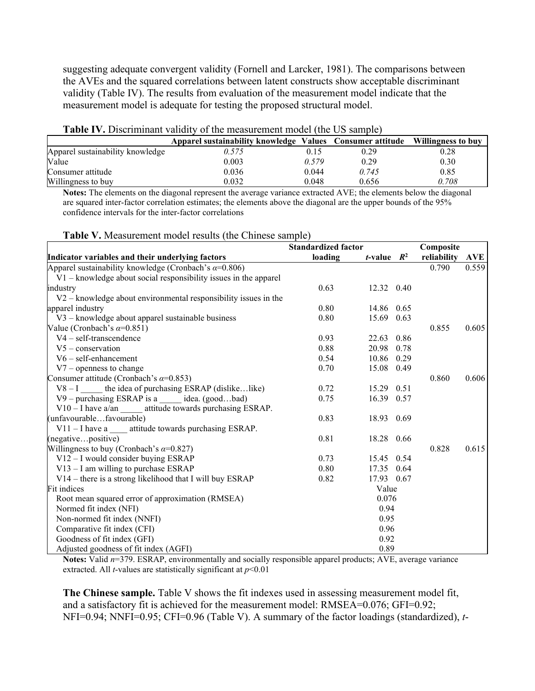suggesting adequate convergent validity (Fornell and Larcker, 1981). The comparisons between the AVEs and the squared correlations between latent constructs show acceptable discriminant validity (Table IV). The results from evaluation of the measurement model indicate that the measurement model is adequate for testing the proposed structural model.

|                                  | Apparel sustainability knowledge Values Consumer attitude |       |       | Willingness to buy |  |  |
|----------------------------------|-----------------------------------------------------------|-------|-------|--------------------|--|--|
| Apparel sustainability knowledge | 0.575                                                     | 0.15  | 0.29  | 0.28               |  |  |
| Value                            | 0.003                                                     | 0.579 | 0.29  | 0.30               |  |  |
| Consumer attitude                | 0.036                                                     | 0.044 | 0.745 | 0.85               |  |  |
| Willingness to buy               | 0.032                                                     | 0.048 | 0.656 | 0.708              |  |  |

**Table IV.** Discriminant validity of the measurement model (the US sample)

**Notes:** The elements on the diagonal represent the average variance extracted AVE; the elements below the diagonal are squared inter-factor correlation estimates; the elements above the diagonal are the upper bounds of the 95% confidence intervals for the inter-factor correlations

| Table V. Measurement model results (the Chinese sample) |  |
|---------------------------------------------------------|--|
|---------------------------------------------------------|--|

|                                                                    |         | <b>Standardized factor</b> |      |             | Composite |
|--------------------------------------------------------------------|---------|----------------------------|------|-------------|-----------|
| Indicator variables and their underlying factors                   | loading | <i>t</i> -value $R^2$      |      | reliability | AVE       |
| Apparel sustainability knowledge (Cronbach's $\alpha$ =0.806)      |         |                            |      | 0.790       | 0.559     |
| $V1$ – knowledge about social responsibility issues in the apparel |         |                            |      |             |           |
| industry                                                           | 0.63    | 12.32 0.40                 |      |             |           |
| $V2 -$ knowledge about environmental responsibility issues in the  |         |                            |      |             |           |
| apparel industry                                                   | 0.80    | 14.86 0.65                 |      |             |           |
| V3 - knowledge about apparel sustainable business                  | 0.80    | 15.69 0.63                 |      |             |           |
| Value (Cronbach's $\alpha$ =0.851)                                 |         |                            |      | 0.855       | 0.605     |
| $V4$ – self-transcendence                                          | 0.93    | 22.63 0.86                 |      |             |           |
| $V5$ – conservation                                                | 0.88    | 20.98                      | 0.78 |             |           |
| $V6$ – self-enhancement                                            | 0.54    | 10.86                      | 0.29 |             |           |
| $V7$ – openness to change                                          | 0.70    | 15.08 0.49                 |      |             |           |
| Consumer attitude (Cronbach's $\alpha$ =0.853)                     |         |                            |      | 0.860       | 0.606     |
| $V8 - I$ the idea of purchasing ESRAP (dislikelike)                | 0.72    | 15.29 0.51                 |      |             |           |
| $V9$ – purchasing ESRAP is a idea. (goodbad)                       | 0.75    | 16.39 0.57                 |      |             |           |
| $V10 - I$ have a/an attitude towards purchasing ESRAP.             |         |                            |      |             |           |
| (unfavourablefavourable)                                           | 0.83    | 18.93 0.69                 |      |             |           |
| $V11 - I$ have a attitude towards purchasing ESRAP.                |         |                            |      |             |           |
| (negativepositive)                                                 | 0.81    | 18.28 0.66                 |      |             |           |
| Willingness to buy (Cronbach's $\alpha=0.827$ )                    |         |                            |      | 0.828       | 0.615     |
| V12 - I would consider buying ESRAP                                | 0.73    | 15.45 0.54                 |      |             |           |
| $V13 - I$ am willing to purchase ESRAP                             | 0.80    | 17.35 0.64                 |      |             |           |
| V14 - there is a strong likelihood that I will buy ESRAP           | 0.82    | 17.93 0.67                 |      |             |           |
| Fit indices                                                        |         | Value                      |      |             |           |
| Root mean squared error of approximation (RMSEA)                   | 0.076   |                            |      |             |           |
| Normed fit index (NFI)                                             | 0.94    |                            |      |             |           |
| Non-normed fit index (NNFI)                                        | 0.95    |                            |      |             |           |
| Comparative fit index (CFI)                                        |         | 0.96                       |      |             |           |
| Goodness of fit index (GFI)                                        |         | 0.92                       |      |             |           |
| Adjusted goodness of fit index (AGFI)                              |         | 0.89                       |      |             |           |

**Notes:** Valid *n*=379. ESRAP, environmentally and socially responsible apparel products; AVE, average variance extracted. All *t*-values are statistically significant at *p*<0.01

**The Chinese sample.** Table V shows the fit indexes used in assessing measurement model fit, and a satisfactory fit is achieved for the measurement model: RMSEA=0.076; GFI=0.92; NFI=0.94; NNFI=0.95; CFI=0.96 (Table V). A summary of the factor loadings (standardized), *t*-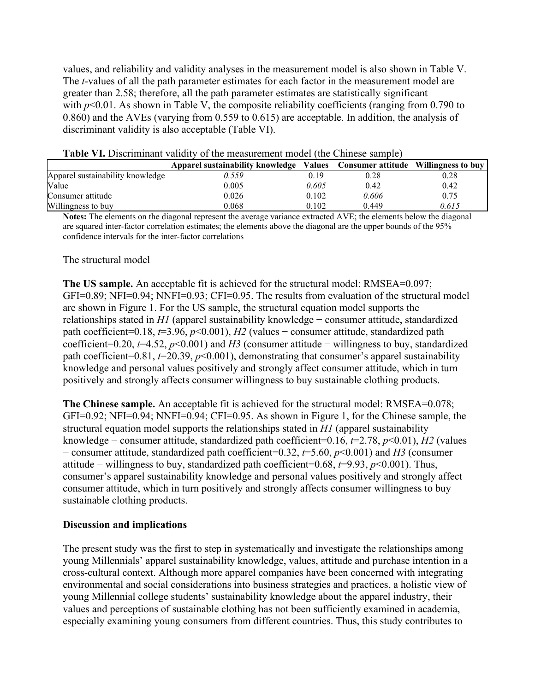values, and reliability and validity analyses in the measurement model is also shown in Table V. The *t*-values of all the path parameter estimates for each factor in the measurement model are greater than 2.58; therefore, all the path parameter estimates are statistically significant with  $p<0.01$ . As shown in Table V, the composite reliability coefficients (ranging from 0.790 to 0.860) and the AVEs (varying from 0.559 to 0.615) are acceptable. In addition, the analysis of discriminant validity is also acceptable (Table VI).

|                                  | Apparel sustainability knowledge |       | Values Consumer attitude Willingness to buy |       |  |  |  |
|----------------------------------|----------------------------------|-------|---------------------------------------------|-------|--|--|--|
| Apparel sustainability knowledge | 0.559                            | 0.19  | 0.28                                        | 0.28  |  |  |  |
| Value                            | 0.005                            | 0.605 | 0.42                                        | 0.42  |  |  |  |
| Consumer attitude                | 0.026                            | 0.102 | 0.606                                       | 0.75  |  |  |  |
| Willingness to buy               | 0.068                            | 0.102 | 0.449                                       | 0.615 |  |  |  |

**Table VI.** Discriminant validity of the measurement model (the Chinese sample)

**Notes:** The elements on the diagonal represent the average variance extracted AVE; the elements below the diagonal are squared inter-factor correlation estimates; the elements above the diagonal are the upper bounds of the 95% confidence intervals for the inter-factor correlations

### The structural model

**The US sample.** An acceptable fit is achieved for the structural model: RMSEA=0.097; GFI=0.89; NFI=0.94; NNFI=0.93; CFI=0.95. The results from evaluation of the structural model are shown in Figure 1. For the US sample, the structural equation model supports the relationships stated in *H1* (apparel sustainability knowledge − consumer attitude, standardized path coefficient=0.18, *t*=3.96, *p*<0.001), *H2* (values − consumer attitude, standardized path coefficient=0.20, *t*=4.52, *p*<0.001) and *H3* (consumer attitude − willingness to buy, standardized path coefficient=0.81,  $t=20.39$ ,  $p<0.001$ ), demonstrating that consumer's apparel sustainability knowledge and personal values positively and strongly affect consumer attitude, which in turn positively and strongly affects consumer willingness to buy sustainable clothing products.

**The Chinese sample.** An acceptable fit is achieved for the structural model: RMSEA=0.078; GFI=0.92; NFI=0.94; NNFI=0.94; CFI=0.95. As shown in Figure 1, for the Chinese sample, the structural equation model supports the relationships stated in *H1* (apparel sustainability knowledge − consumer attitude, standardized path coefficient=0.16, *t*=2.78, *p*<0.01), *H2* (values − consumer attitude, standardized path coefficient=0.32, *t*=5.60, *p*<0.001) and *H3* (consumer attitude − willingness to buy, standardized path coefficient=0.68, *t*=9.93, *p*<0.001). Thus, consumer's apparel sustainability knowledge and personal values positively and strongly affect consumer attitude, which in turn positively and strongly affects consumer willingness to buy sustainable clothing products.

### **Discussion and implications**

The present study was the first to step in systematically and investigate the relationships among young Millennials' apparel sustainability knowledge, values, attitude and purchase intention in a cross-cultural context. Although more apparel companies have been concerned with integrating environmental and social considerations into business strategies and practices, a holistic view of young Millennial college students' sustainability knowledge about the apparel industry, their values and perceptions of sustainable clothing has not been sufficiently examined in academia, especially examining young consumers from different countries. Thus, this study contributes to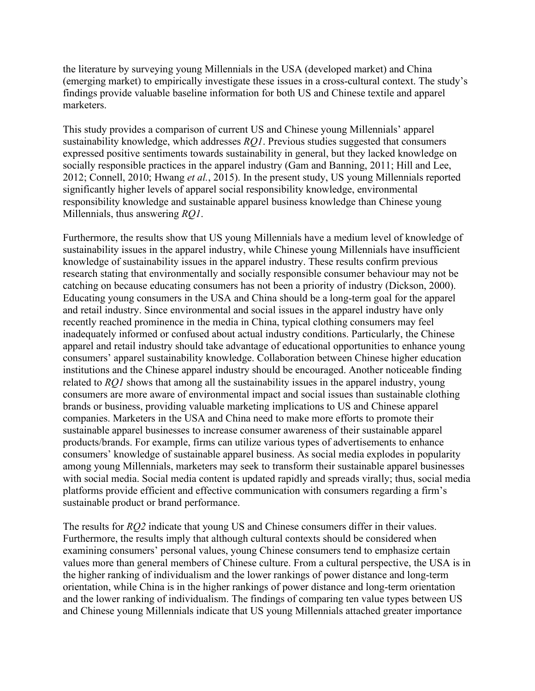the literature by surveying young Millennials in the USA (developed market) and China (emerging market) to empirically investigate these issues in a cross-cultural context. The study's findings provide valuable baseline information for both US and Chinese textile and apparel marketers.

This study provides a comparison of current US and Chinese young Millennials' apparel sustainability knowledge, which addresses *RQ1*. Previous studies suggested that consumers expressed positive sentiments towards sustainability in general, but they lacked knowledge on socially responsible practices in the apparel industry (Gam and Banning, 2011; Hill and Lee, 2012; Connell, 2010; Hwang *et al.*, 2015). In the present study, US young Millennials reported significantly higher levels of apparel social responsibility knowledge, environmental responsibility knowledge and sustainable apparel business knowledge than Chinese young Millennials, thus answering *RQ1*.

Furthermore, the results show that US young Millennials have a medium level of knowledge of sustainability issues in the apparel industry, while Chinese young Millennials have insufficient knowledge of sustainability issues in the apparel industry. These results confirm previous research stating that environmentally and socially responsible consumer behaviour may not be catching on because educating consumers has not been a priority of industry (Dickson, 2000). Educating young consumers in the USA and China should be a long-term goal for the apparel and retail industry. Since environmental and social issues in the apparel industry have only recently reached prominence in the media in China, typical clothing consumers may feel inadequately informed or confused about actual industry conditions. Particularly, the Chinese apparel and retail industry should take advantage of educational opportunities to enhance young consumers' apparel sustainability knowledge. Collaboration between Chinese higher education institutions and the Chinese apparel industry should be encouraged. Another noticeable finding related to *RQ1* shows that among all the sustainability issues in the apparel industry, young consumers are more aware of environmental impact and social issues than sustainable clothing brands or business, providing valuable marketing implications to US and Chinese apparel companies. Marketers in the USA and China need to make more efforts to promote their sustainable apparel businesses to increase consumer awareness of their sustainable apparel products/brands. For example, firms can utilize various types of advertisements to enhance consumers' knowledge of sustainable apparel business. As social media explodes in popularity among young Millennials, marketers may seek to transform their sustainable apparel businesses with social media. Social media content is updated rapidly and spreads virally; thus, social media platforms provide efficient and effective communication with consumers regarding a firm's sustainable product or brand performance.

The results for *RQ2* indicate that young US and Chinese consumers differ in their values. Furthermore, the results imply that although cultural contexts should be considered when examining consumers' personal values, young Chinese consumers tend to emphasize certain values more than general members of Chinese culture. From a cultural perspective, the USA is in the higher ranking of individualism and the lower rankings of power distance and long-term orientation, while China is in the higher rankings of power distance and long-term orientation and the lower ranking of individualism. The findings of comparing ten value types between US and Chinese young Millennials indicate that US young Millennials attached greater importance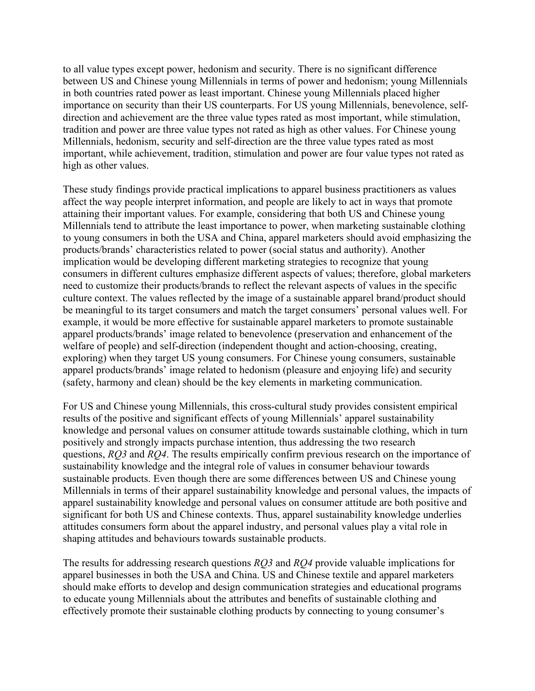to all value types except power, hedonism and security. There is no significant difference between US and Chinese young Millennials in terms of power and hedonism; young Millennials in both countries rated power as least important. Chinese young Millennials placed higher importance on security than their US counterparts. For US young Millennials, benevolence, selfdirection and achievement are the three value types rated as most important, while stimulation, tradition and power are three value types not rated as high as other values. For Chinese young Millennials, hedonism, security and self-direction are the three value types rated as most important, while achievement, tradition, stimulation and power are four value types not rated as high as other values.

These study findings provide practical implications to apparel business practitioners as values affect the way people interpret information, and people are likely to act in ways that promote attaining their important values. For example, considering that both US and Chinese young Millennials tend to attribute the least importance to power, when marketing sustainable clothing to young consumers in both the USA and China, apparel marketers should avoid emphasizing the products/brands' characteristics related to power (social status and authority). Another implication would be developing different marketing strategies to recognize that young consumers in different cultures emphasize different aspects of values; therefore, global marketers need to customize their products/brands to reflect the relevant aspects of values in the specific culture context. The values reflected by the image of a sustainable apparel brand/product should be meaningful to its target consumers and match the target consumers' personal values well. For example, it would be more effective for sustainable apparel marketers to promote sustainable apparel products/brands' image related to benevolence (preservation and enhancement of the welfare of people) and self-direction (independent thought and action-choosing, creating, exploring) when they target US young consumers. For Chinese young consumers, sustainable apparel products/brands' image related to hedonism (pleasure and enjoying life) and security (safety, harmony and clean) should be the key elements in marketing communication.

For US and Chinese young Millennials, this cross-cultural study provides consistent empirical results of the positive and significant effects of young Millennials' apparel sustainability knowledge and personal values on consumer attitude towards sustainable clothing, which in turn positively and strongly impacts purchase intention, thus addressing the two research questions, *RQ3* and *RQ4*. The results empirically confirm previous research on the importance of sustainability knowledge and the integral role of values in consumer behaviour towards sustainable products. Even though there are some differences between US and Chinese young Millennials in terms of their apparel sustainability knowledge and personal values, the impacts of apparel sustainability knowledge and personal values on consumer attitude are both positive and significant for both US and Chinese contexts. Thus, apparel sustainability knowledge underlies attitudes consumers form about the apparel industry, and personal values play a vital role in shaping attitudes and behaviours towards sustainable products.

The results for addressing research questions *RQ3* and *RQ4* provide valuable implications for apparel businesses in both the USA and China. US and Chinese textile and apparel marketers should make efforts to develop and design communication strategies and educational programs to educate young Millennials about the attributes and benefits of sustainable clothing and effectively promote their sustainable clothing products by connecting to young consumer's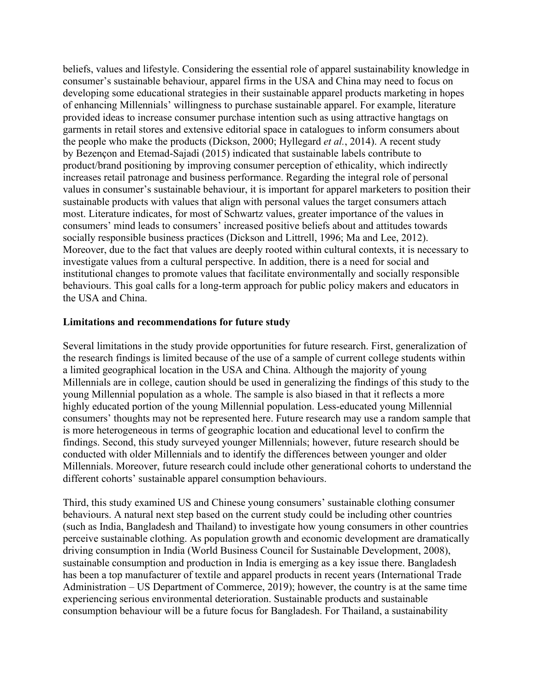beliefs, values and lifestyle. Considering the essential role of apparel sustainability knowledge in consumer's sustainable behaviour, apparel firms in the USA and China may need to focus on developing some educational strategies in their sustainable apparel products marketing in hopes of enhancing Millennials' willingness to purchase sustainable apparel. For example, literature provided ideas to increase consumer purchase intention such as using attractive hangtags on garments in retail stores and extensive editorial space in catalogues to inform consumers about the people who make the products (Dickson, 2000; Hyllegard *et al.*, 2014). A recent study by Bezençon and Etemad-Sajadi (2015) indicated that sustainable labels contribute to product/brand positioning by improving consumer perception of ethicality, which indirectly increases retail patronage and business performance. Regarding the integral role of personal values in consumer's sustainable behaviour, it is important for apparel marketers to position their sustainable products with values that align with personal values the target consumers attach most. Literature indicates, for most of Schwartz values, greater importance of the values in consumers' mind leads to consumers' increased positive beliefs about and attitudes towards socially responsible business practices (Dickson and Littrell, 1996; Ma and Lee, 2012). Moreover, due to the fact that values are deeply rooted within cultural contexts, it is necessary to investigate values from a cultural perspective. In addition, there is a need for social and institutional changes to promote values that facilitate environmentally and socially responsible behaviours. This goal calls for a long-term approach for public policy makers and educators in the USA and China.

### **Limitations and recommendations for future study**

Several limitations in the study provide opportunities for future research. First, generalization of the research findings is limited because of the use of a sample of current college students within a limited geographical location in the USA and China. Although the majority of young Millennials are in college, caution should be used in generalizing the findings of this study to the young Millennial population as a whole. The sample is also biased in that it reflects a more highly educated portion of the young Millennial population. Less-educated young Millennial consumers' thoughts may not be represented here. Future research may use a random sample that is more heterogeneous in terms of geographic location and educational level to confirm the findings. Second, this study surveyed younger Millennials; however, future research should be conducted with older Millennials and to identify the differences between younger and older Millennials. Moreover, future research could include other generational cohorts to understand the different cohorts' sustainable apparel consumption behaviours.

Third, this study examined US and Chinese young consumers' sustainable clothing consumer behaviours. A natural next step based on the current study could be including other countries (such as India, Bangladesh and Thailand) to investigate how young consumers in other countries perceive sustainable clothing. As population growth and economic development are dramatically driving consumption in India (World Business Council for Sustainable Development, 2008), sustainable consumption and production in India is emerging as a key issue there. Bangladesh has been a top manufacturer of textile and apparel products in recent years (International Trade Administration – US Department of Commerce, 2019); however, the country is at the same time experiencing serious environmental deterioration. Sustainable products and sustainable consumption behaviour will be a future focus for Bangladesh. For Thailand, a sustainability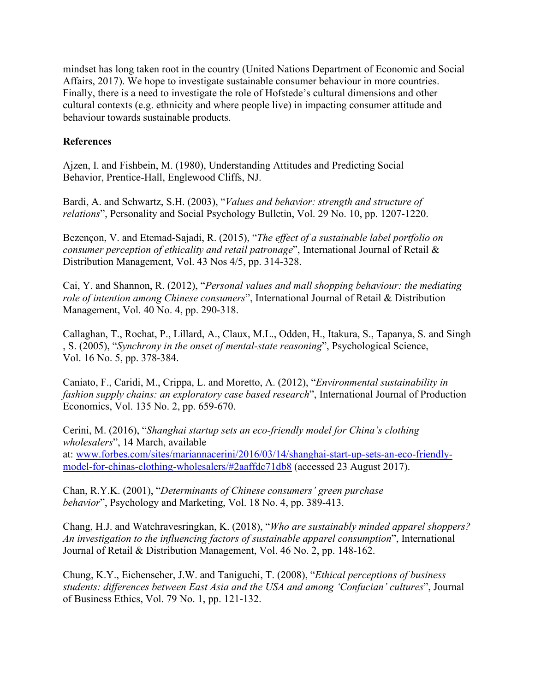mindset has long taken root in the country (United Nations Department of Economic and Social Affairs, 2017). We hope to investigate sustainable consumer behaviour in more countries. Finally, there is a need to investigate the role of Hofstede's cultural dimensions and other cultural contexts (e.g. ethnicity and where people live) in impacting consumer attitude and behaviour towards sustainable products.

## **References**

Ajzen, I. and Fishbein, M. (1980), Understanding Attitudes and Predicting Social Behavior, Prentice-Hall, Englewood Cliffs, NJ.

Bardi, A. and Schwartz, S.H. (2003), "*Values and behavior: strength and structure of relations*", Personality and Social Psychology Bulletin, Vol. 29 No. 10, pp. 1207-1220.

Bezençon, V. and Etemad-Sajadi, R. (2015), "*The effect of a sustainable label portfolio on consumer perception of ethicality and retail patronage*", International Journal of Retail & Distribution Management, Vol. 43 Nos 4/5, pp. 314-328.

Cai, Y. and Shannon, R. (2012), "*Personal values and mall shopping behaviour: the mediating role of intention among Chinese consumers*", International Journal of Retail & Distribution Management, Vol. 40 No. 4, pp. 290-318.

Callaghan, T., Rochat, P., Lillard, A., Claux, M.L., Odden, H., Itakura, S., Tapanya, S. and Singh , S. (2005), "*Synchrony in the onset of mental-state reasoning*", Psychological Science, Vol. 16 No. 5, pp. 378-384.

Caniato, F., Caridi, M., Crippa, L. and Moretto, A. (2012), "*Environmental sustainability in fashion supply chains: an exploratory case based research*", International Journal of Production Economics, Vol. 135 No. 2, pp. 659-670.

Cerini, M. (2016), "*Shanghai startup sets an eco-friendly model for China's clothing wholesalers*", 14 March, available at: [www.forbes.com/sites/mariannacerini/2016/03/14/shanghai-start-up-sets-an-eco-friendly](http://www.forbes.com/sites/mariannacerini/2016/03/14/shanghai-start-up-sets-an-eco-friendly-model-for-chinas-clothing-wholesalers/#2aaffdc71db8)[model-for-chinas-clothing-wholesalers/#2aaffdc71db8](http://www.forbes.com/sites/mariannacerini/2016/03/14/shanghai-start-up-sets-an-eco-friendly-model-for-chinas-clothing-wholesalers/#2aaffdc71db8) (accessed 23 August 2017).

Chan, R.Y.K. (2001), "*Determinants of Chinese consumers' green purchase behavior*", Psychology and Marketing, Vol. 18 No. 4, pp. 389-413.

Chang, H.J. and Watchravesringkan, K. (2018), "*Who are sustainably minded apparel shoppers? An investigation to the influencing factors of sustainable apparel consumption*", International Journal of Retail & Distribution Management, Vol. 46 No. 2, pp. 148-162.

Chung, K.Y., Eichenseher, J.W. and Taniguchi, T. (2008), "*Ethical perceptions of business students: differences between East Asia and the USA and among 'Confucian' cultures*", Journal of Business Ethics, Vol. 79 No. 1, pp. 121-132.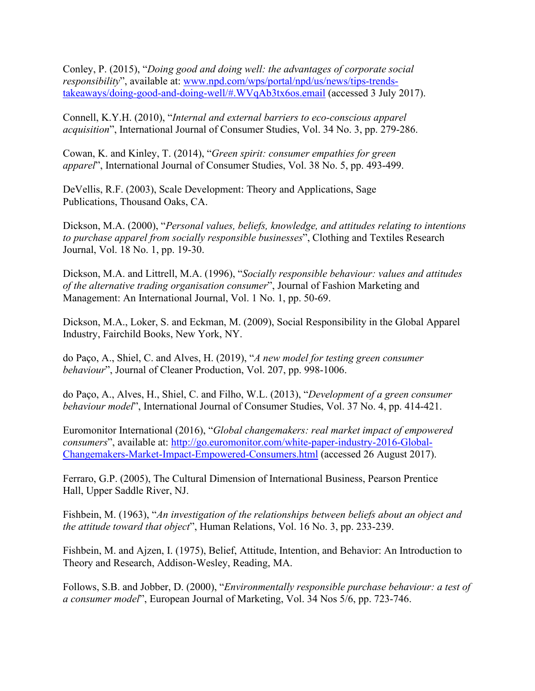Conley, P. (2015), "*Doing good and doing well: the advantages of corporate social responsibility*", available at: [www.npd.com/wps/portal/npd/us/news/tips-trends](http://www.npd.com/wps/portal/npd/us/news/tips-trends-takeaways/doing-good-and-doing-well/#.WVqAb3tx6os.email)[takeaways/doing-good-and-doing-well/#.WVqAb3tx6os.email](http://www.npd.com/wps/portal/npd/us/news/tips-trends-takeaways/doing-good-and-doing-well/#.WVqAb3tx6os.email) (accessed 3 July 2017).

Connell, K.Y.H. (2010), "*Internal and external barriers to eco-conscious apparel acquisition*", International Journal of Consumer Studies, Vol. 34 No. 3, pp. 279-286.

Cowan, K. and Kinley, T. (2014), "*Green spirit: consumer empathies for green apparel*", International Journal of Consumer Studies, Vol. 38 No. 5, pp. 493-499.

DeVellis, R.F. (2003), Scale Development: Theory and Applications, Sage Publications, Thousand Oaks, CA.

Dickson, M.A. (2000), "*Personal values, beliefs, knowledge, and attitudes relating to intentions to purchase apparel from socially responsible businesses*", Clothing and Textiles Research Journal, Vol. 18 No. 1, pp. 19-30.

Dickson, M.A. and Littrell, M.A. (1996), "*Socially responsible behaviour: values and attitudes of the alternative trading organisation consumer*", Journal of Fashion Marketing and Management: An International Journal, Vol. 1 No. 1, pp. 50-69.

Dickson, M.A., Loker, S. and Eckman, M. (2009), Social Responsibility in the Global Apparel Industry, Fairchild Books, New York, NY.

do Paço, A., Shiel, C. and Alves, H. (2019), "*A new model for testing green consumer behaviour*", Journal of Cleaner Production, Vol. 207, pp. 998-1006.

do Paço, A., Alves, H., Shiel, C. and Filho, W.L. (2013), "*Development of a green consumer behaviour model*", International Journal of Consumer Studies, Vol. 37 No. 4, pp. 414-421.

Euromonitor International (2016), "*Global changemakers: real market impact of empowered consumers*", available at: [http://go.euromonitor.com/white-paper-industry-2016-Global-](http://go.euromonitor.com/white-paper-industry-2016-Global-Changemakers-Market-Impact-Empowered-Consumers.html)[Changemakers-Market-Impact-Empowered-Consumers.html](http://go.euromonitor.com/white-paper-industry-2016-Global-Changemakers-Market-Impact-Empowered-Consumers.html) (accessed 26 August 2017).

Ferraro, G.P. (2005), The Cultural Dimension of International Business, Pearson Prentice Hall, Upper Saddle River, NJ.

Fishbein, M. (1963), "*An investigation of the relationships between beliefs about an object and the attitude toward that object*", Human Relations, Vol. 16 No. 3, pp. 233-239.

Fishbein, M. and Ajzen, I. (1975), Belief, Attitude, Intention, and Behavior: An Introduction to Theory and Research, Addison-Wesley, Reading, MA.

Follows, S.B. and Jobber, D. (2000), "*Environmentally responsible purchase behaviour: a test of a consumer model*", European Journal of Marketing, Vol. 34 Nos 5/6, pp. 723-746.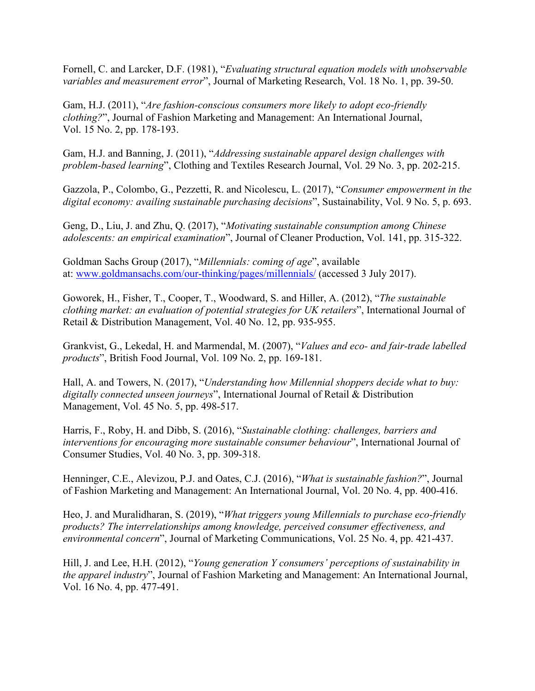Fornell, C. and Larcker, D.F. (1981), "*Evaluating structural equation models with unobservable variables and measurement error*", Journal of Marketing Research, Vol. 18 No. 1, pp. 39-50.

Gam, H.J. (2011), "*Are fashion-conscious consumers more likely to adopt eco-friendly clothing?*", Journal of Fashion Marketing and Management: An International Journal, Vol. 15 No. 2, pp. 178-193.

Gam, H.J. and Banning, J. (2011), "*Addressing sustainable apparel design challenges with problem-based learning*", Clothing and Textiles Research Journal, Vol. 29 No. 3, pp. 202-215.

Gazzola, P., Colombo, G., Pezzetti, R. and Nicolescu, L. (2017), "*Consumer empowerment in the digital economy: availing sustainable purchasing decisions*", Sustainability, Vol. 9 No. 5, p. 693.

Geng, D., Liu, J. and Zhu, Q. (2017), "*Motivating sustainable consumption among Chinese adolescents: an empirical examination*", Journal of Cleaner Production, Vol. 141, pp. 315-322.

Goldman Sachs Group (2017), "*Millennials: coming of age*", available at: [www.goldmansachs.com/our-thinking/pages/millennials/](http://www.goldmansachs.com/our-thinking/pages/millennials/) (accessed 3 July 2017).

Goworek, H., Fisher, T., Cooper, T., Woodward, S. and Hiller, A. (2012), "*The sustainable clothing market: an evaluation of potential strategies for UK retailers*", International Journal of Retail & Distribution Management, Vol. 40 No. 12, pp. 935-955.

Grankvist, G., Lekedal, H. and Marmendal, M. (2007), "*Values and eco‐ and fair‐trade labelled products*", British Food Journal, Vol. 109 No. 2, pp. 169-181.

Hall, A. and Towers, N. (2017), "*Understanding how Millennial shoppers decide what to buy: digitally connected unseen journeys*", International Journal of Retail & Distribution Management, Vol. 45 No. 5, pp. 498-517.

Harris, F., Roby, H. and Dibb, S. (2016), "*Sustainable clothing: challenges, barriers and interventions for encouraging more sustainable consumer behaviour*", International Journal of Consumer Studies, Vol. 40 No. 3, pp. 309-318.

Henninger, C.E., Alevizou, P.J. and Oates, C.J. (2016), "*What is sustainable fashion?*", Journal of Fashion Marketing and Management: An International Journal, Vol. 20 No. 4, pp. 400-416.

Heo, J. and Muralidharan, S. (2019), "*What triggers young Millennials to purchase eco-friendly products? The interrelationships among knowledge, perceived consumer effectiveness, and environmental concern*", Journal of Marketing Communications, Vol. 25 No. 4, pp. 421-437.

Hill, J. and Lee, H.H. (2012), "*Young generation Y consumers' perceptions of sustainability in the apparel industry*", Journal of Fashion Marketing and Management: An International Journal, Vol. 16 No. 4, pp. 477-491.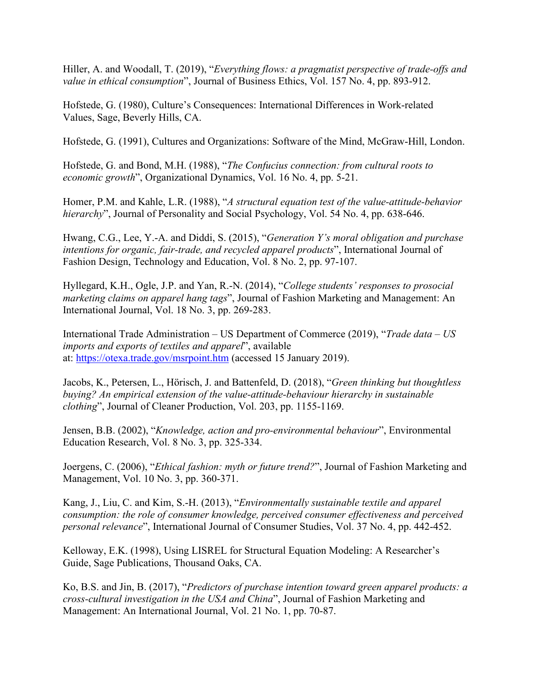Hiller, A. and Woodall, T. (2019), "*Everything flows: a pragmatist perspective of trade-offs and value in ethical consumption*", Journal of Business Ethics, Vol. 157 No. 4, pp. 893-912.

Hofstede, G. (1980), Culture's Consequences: International Differences in Work-related Values, Sage, Beverly Hills, CA.

Hofstede, G. (1991), Cultures and Organizations: Software of the Mind, McGraw-Hill, London.

Hofstede, G. and Bond, M.H. (1988), "*The Confucius connection: from cultural roots to economic growth*", Organizational Dynamics, Vol. 16 No. 4, pp. 5-21.

Homer, P.M. and Kahle, L.R. (1988), "*A structural equation test of the value-attitude-behavior hierarchy*", Journal of Personality and Social Psychology, Vol. 54 No. 4, pp. 638-646.

Hwang, C.G., Lee, Y.-A. and Diddi, S. (2015), "*Generation Y's moral obligation and purchase intentions for organic, fair-trade, and recycled apparel products*", International Journal of Fashion Design, Technology and Education, Vol. 8 No. 2, pp. 97-107.

Hyllegard, K.H., Ogle, J.P. and Yan, R.-N. (2014), "*College students' responses to prosocial marketing claims on apparel hang tags*", Journal of Fashion Marketing and Management: An International Journal, Vol. 18 No. 3, pp. 269-283.

International Trade Administration – US Department of Commerce (2019), "*Trade data – US imports and exports of textiles and apparel*", available at: <https://otexa.trade.gov/msrpoint.htm> (accessed 15 January 2019).

Jacobs, K., Petersen, L., Hörisch, J. and Battenfeld, D. (2018), "*Green thinking but thoughtless buying? An empirical extension of the value-attitude-behaviour hierarchy in sustainable clothing*", Journal of Cleaner Production, Vol. 203, pp. 1155-1169.

Jensen, B.B. (2002), "*Knowledge, action and pro-environmental behaviour*", Environmental Education Research, Vol. 8 No. 3, pp. 325-334.

Joergens, C. (2006), "*Ethical fashion: myth or future trend?*", Journal of Fashion Marketing and Management, Vol. 10 No. 3, pp. 360-371.

Kang, J., Liu, C. and Kim, S.-H. (2013), "*Environmentally sustainable textile and apparel consumption: the role of consumer knowledge, perceived consumer effectiveness and perceived personal relevance*", International Journal of Consumer Studies, Vol. 37 No. 4, pp. 442-452.

Kelloway, E.K. (1998), Using LISREL for Structural Equation Modeling: A Researcher's Guide, Sage Publications, Thousand Oaks, CA.

Ko, B.S. and Jin, B. (2017), "*Predictors of purchase intention toward green apparel products: a cross-cultural investigation in the USA and China*", Journal of Fashion Marketing and Management: An International Journal, Vol. 21 No. 1, pp. 70-87.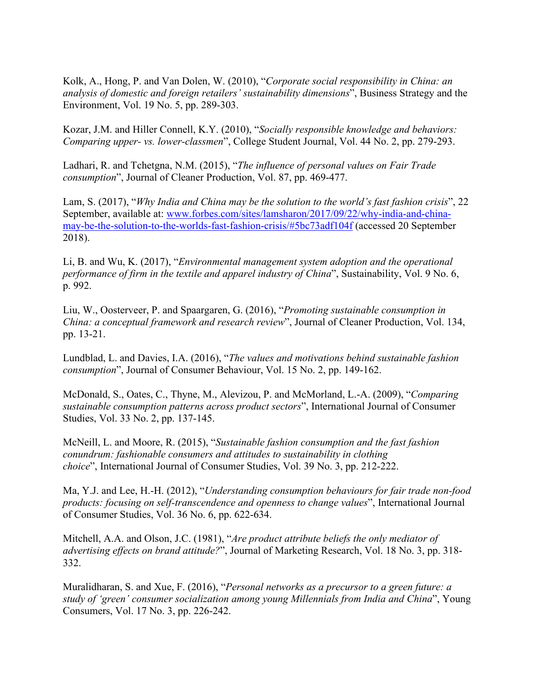Kolk, A., Hong, P. and Van Dolen, W. (2010), "*Corporate social responsibility in China: an analysis of domestic and foreign retailers' sustainability dimensions*", Business Strategy and the Environment, Vol. 19 No. 5, pp. 289-303.

Kozar, J.M. and Hiller Connell, K.Y. (2010), "*Socially responsible knowledge and behaviors: Comparing upper- vs. lower-classmen*", College Student Journal, Vol. 44 No. 2, pp. 279-293.

Ladhari, R. and Tchetgna, N.M. (2015), "*The influence of personal values on Fair Trade consumption*", Journal of Cleaner Production, Vol. 87, pp. 469-477.

Lam, S. (2017), "*Why India and China may be the solution to the world's fast fashion crisis*", 22 September, available at: [www.forbes.com/sites/lamsharon/2017/09/22/why-india-and-china](http://www.forbes.com/sites/lamsharon/2017/09/22/why-india-and-china-may-be-the-solution-to-the-worlds-fast-fashion-crisis/#5bc73adf104f)[may-be-the-solution-to-the-worlds-fast-fashion-crisis/#5bc73adf104f](http://www.forbes.com/sites/lamsharon/2017/09/22/why-india-and-china-may-be-the-solution-to-the-worlds-fast-fashion-crisis/#5bc73adf104f) (accessed 20 September 2018).

Li, B. and Wu, K. (2017), "*Environmental management system adoption and the operational performance of firm in the textile and apparel industry of China*", Sustainability, Vol. 9 No. 6, p. 992.

Liu, W., Oosterveer, P. and Spaargaren, G. (2016), "*Promoting sustainable consumption in China: a conceptual framework and research review*", Journal of Cleaner Production, Vol. 134, pp. 13-21.

Lundblad, L. and Davies, I.A. (2016), "*The values and motivations behind sustainable fashion consumption*", Journal of Consumer Behaviour, Vol. 15 No. 2, pp. 149-162.

McDonald, S., Oates, C., Thyne, M., Alevizou, P. and McMorland, L.-A. (2009), "*Comparing sustainable consumption patterns across product sectors*", International Journal of Consumer Studies, Vol. 33 No. 2, pp. 137-145.

McNeill, L. and Moore, R. (2015), "*Sustainable fashion consumption and the fast fashion conundrum: fashionable consumers and attitudes to sustainability in clothing choice*", International Journal of Consumer Studies, Vol. 39 No. 3, pp. 212-222.

Ma, Y.J. and Lee, H.-H. (2012), "*Understanding consumption behaviours for fair trade non-food products: focusing on self-transcendence and openness to change values*", International Journal of Consumer Studies, Vol. 36 No. 6, pp. 622-634.

Mitchell, A.A. and Olson, J.C. (1981), "*Are product attribute beliefs the only mediator of advertising effects on brand attitude?*", Journal of Marketing Research, Vol. 18 No. 3, pp. 318- 332.

Muralidharan, S. and Xue, F. (2016), "*Personal networks as a precursor to a green future: a study of 'green' consumer socialization among young Millennials from India and China*", Young Consumers, Vol. 17 No. 3, pp. 226-242.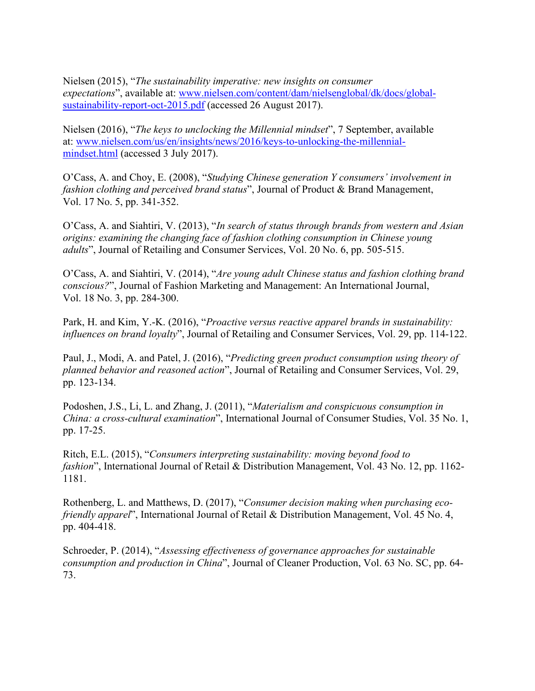Nielsen (2015), "*The sustainability imperative: new insights on consumer expectations*", available at: [www.nielsen.com/content/dam/nielsenglobal/dk/docs/global](http://www.nielsen.com/content/dam/nielsenglobal/dk/docs/global-sustainability-report-oct-2015.pdf)[sustainability-report-oct-2015.pdf](http://www.nielsen.com/content/dam/nielsenglobal/dk/docs/global-sustainability-report-oct-2015.pdf) (accessed 26 August 2017).

Nielsen (2016), "*The keys to unclocking the Millennial mindset*", 7 September, available at: [www.nielsen.com/us/en/insights/news/2016/keys-to-unlocking-the-millennial](http://www.nielsen.com/us/en/insights/news/2016/keys-to-unlocking-the-millennial-mindset.html)[mindset.html](http://www.nielsen.com/us/en/insights/news/2016/keys-to-unlocking-the-millennial-mindset.html) (accessed 3 July 2017).

O'Cass, A. and Choy, E. (2008), "*Studying Chinese generation Y consumers' involvement in fashion clothing and perceived brand status*", Journal of Product & Brand Management, Vol. 17 No. 5, pp. 341-352.

O'Cass, A. and Siahtiri, V. (2013), "*In search of status through brands from western and Asian origins: examining the changing face of fashion clothing consumption in Chinese young adults*", Journal of Retailing and Consumer Services, Vol. 20 No. 6, pp. 505-515.

O'Cass, A. and Siahtiri, V. (2014), "*Are young adult Chinese status and fashion clothing brand conscious?*", Journal of Fashion Marketing and Management: An International Journal, Vol. 18 No. 3, pp. 284-300.

Park, H. and Kim, Y.-K. (2016), "*Proactive versus reactive apparel brands in sustainability: influences on brand loyalty*", Journal of Retailing and Consumer Services, Vol. 29, pp. 114-122.

Paul, J., Modi, A. and Patel, J. (2016), "*Predicting green product consumption using theory of planned behavior and reasoned action*", Journal of Retailing and Consumer Services, Vol. 29, pp. 123-134.

Podoshen, J.S., Li, L. and Zhang, J. (2011), "*Materialism and conspicuous consumption in China: a cross-cultural examination*", International Journal of Consumer Studies, Vol. 35 No. 1, pp. 17-25.

Ritch, E.L. (2015), "*Consumers interpreting sustainability: moving beyond food to fashion*", International Journal of Retail & Distribution Management, Vol. 43 No. 12, pp. 1162- 1181.

Rothenberg, L. and Matthews, D. (2017), "*Consumer decision making when purchasing ecofriendly apparel*", International Journal of Retail & Distribution Management, Vol. 45 No. 4, pp. 404-418.

Schroeder, P. (2014), "*Assessing effectiveness of governance approaches for sustainable consumption and production in China*", Journal of Cleaner Production, Vol. 63 No. SC, pp. 64- 73.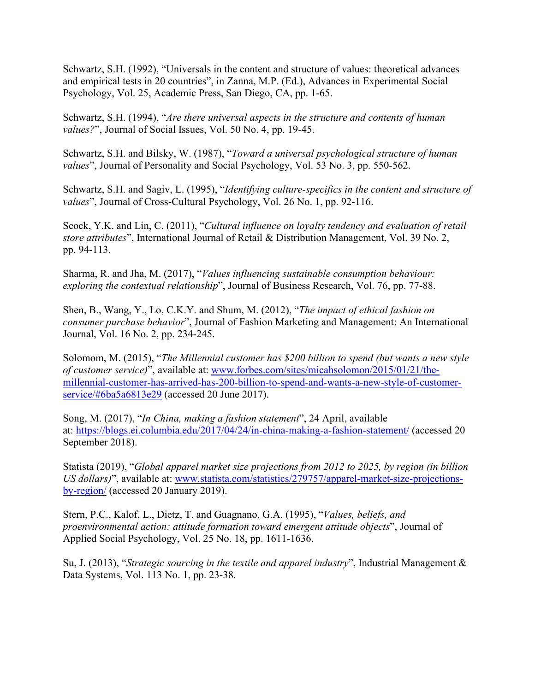Schwartz, S.H. (1992), "Universals in the content and structure of values: theoretical advances and empirical tests in 20 countries", in Zanna, M.P. (Ed.), Advances in Experimental Social Psychology, Vol. 25, Academic Press, San Diego, CA, pp. 1-65.

Schwartz, S.H. (1994), "*Are there universal aspects in the structure and contents of human values?*", Journal of Social Issues, Vol. 50 No. 4, pp. 19-45.

Schwartz, S.H. and Bilsky, W. (1987), "*Toward a universal psychological structure of human values*", Journal of Personality and Social Psychology, Vol. 53 No. 3, pp. 550-562.

Schwartz, S.H. and Sagiv, L. (1995), "*Identifying culture-specifics in the content and structure of values*", Journal of Cross-Cultural Psychology, Vol. 26 No. 1, pp. 92-116.

Seock, Y.K. and Lin, C. (2011), "*Cultural influence on loyalty tendency and evaluation of retail store attributes*", International Journal of Retail & Distribution Management, Vol. 39 No. 2, pp. 94-113.

Sharma, R. and Jha, M. (2017), "*Values influencing sustainable consumption behaviour: exploring the contextual relationship*", Journal of Business Research, Vol. 76, pp. 77-88.

Shen, B., Wang, Y., Lo, C.K.Y. and Shum, M. (2012), "*The impact of ethical fashion on consumer purchase behavior*", Journal of Fashion Marketing and Management: An International Journal, Vol. 16 No. 2, pp. 234-245.

Solomom, M. (2015), "*The Millennial customer has \$200 billion to spend (but wants a new style of customer service)*", available at: [www.forbes.com/sites/micahsolomon/2015/01/21/the](http://www.forbes.com/sites/micahsolomon/2015/01/21/the-millennial-customer-has-arrived-has-200-billion-to-spend-and-wants-a-new-style-of-customer-service/#6ba5a6813e29)[millennial-customer-has-arrived-has-200-billion-to-spend-and-wants-a-new-style-of-customer](http://www.forbes.com/sites/micahsolomon/2015/01/21/the-millennial-customer-has-arrived-has-200-billion-to-spend-and-wants-a-new-style-of-customer-service/#6ba5a6813e29)[service/#6ba5a6813e29](http://www.forbes.com/sites/micahsolomon/2015/01/21/the-millennial-customer-has-arrived-has-200-billion-to-spend-and-wants-a-new-style-of-customer-service/#6ba5a6813e29) (accessed 20 June 2017).

Song, M. (2017), "*In China, making a fashion statement*", 24 April, available at: <https://blogs.ei.columbia.edu/2017/04/24/in-china-making-a-fashion-statement/> (accessed 20 September 2018).

Statista (2019), "*Global apparel market size projections from 2012 to 2025, by region (in billion US dollars)*", available at: [www.statista.com/statistics/279757/apparel-market-size-projections](http://www.statista.com/statistics/279757/apparel-market-size-projections-by-region/)[by-region/](http://www.statista.com/statistics/279757/apparel-market-size-projections-by-region/) (accessed 20 January 2019).

Stern, P.C., Kalof, L., Dietz, T. and Guagnano, G.A. (1995), "*Values, beliefs, and proenvironmental action: attitude formation toward emergent attitude objects*", Journal of Applied Social Psychology, Vol. 25 No. 18, pp. 1611-1636.

Su, J. (2013), "*Strategic sourcing in the textile and apparel industry*", Industrial Management & Data Systems, Vol. 113 No. 1, pp. 23-38.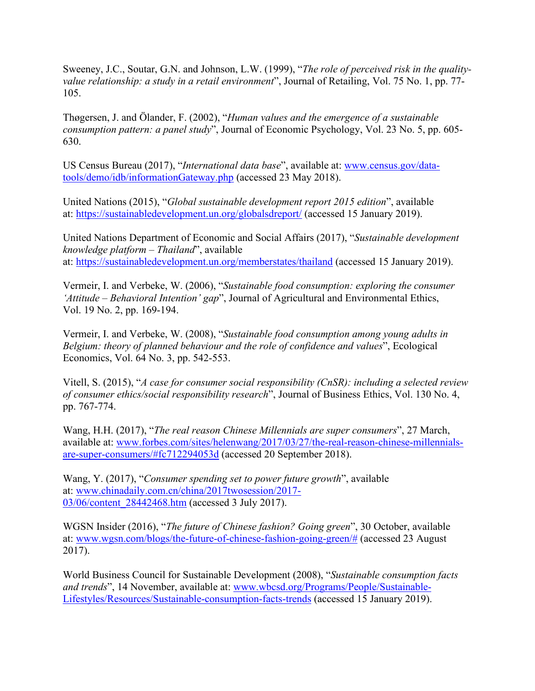Sweeney, J.C., Soutar, G.N. and Johnson, L.W. (1999), "*The role of perceived risk in the qualityvalue relationship: a study in a retail environment*", Journal of Retailing, Vol. 75 No. 1, pp. 77- 105.

Thøgersen, J. and Ölander, F. (2002), "*Human values and the emergence of a sustainable consumption pattern: a panel study*", Journal of Economic Psychology, Vol. 23 No. 5, pp. 605- 630.

US Census Bureau (2017), "*International data base*", available at: [www.census.gov/data](http://www.census.gov/data-tools/demo/idb/informationGateway.php)[tools/demo/idb/informationGateway.php](http://www.census.gov/data-tools/demo/idb/informationGateway.php) (accessed 23 May 2018).

United Nations (2015), "*Global sustainable development report 2015 edition*", available at: <https://sustainabledevelopment.un.org/globalsdreport/> (accessed 15 January 2019).

United Nations Department of Economic and Social Affairs (2017), "*Sustainable development knowledge platform – Thailand*", available at: <https://sustainabledevelopment.un.org/memberstates/thailand> (accessed 15 January 2019).

Vermeir, I. and Verbeke, W. (2006), "*Sustainable food consumption: exploring the consumer 'Attitude – Behavioral Intention' gap*", Journal of Agricultural and Environmental Ethics, Vol. 19 No. 2, pp. 169-194.

Vermeir, I. and Verbeke, W. (2008), "*Sustainable food consumption among young adults in Belgium: theory of planned behaviour and the role of confidence and values*", Ecological Economics, Vol. 64 No. 3, pp. 542-553.

Vitell, S. (2015), "*A case for consumer social responsibility (CnSR): including a selected review of consumer ethics/social responsibility research*", Journal of Business Ethics, Vol. 130 No. 4, pp. 767-774.

Wang, H.H. (2017), "*The real reason Chinese Millennials are super consumers*", 27 March, available at: [www.forbes.com/sites/helenwang/2017/03/27/the-real-reason-chinese-millennials](http://www.forbes.com/sites/helenwang/2017/03/27/the-real-reason-chinese-millennials-are-super-consumers/#fc712294053d)[are-super-consumers/#fc712294053d](http://www.forbes.com/sites/helenwang/2017/03/27/the-real-reason-chinese-millennials-are-super-consumers/#fc712294053d) (accessed 20 September 2018).

Wang, Y. (2017), "*Consumer spending set to power future growth*", available at: [www.chinadaily.com.cn/china/2017twosession/2017-](https://www.chinadaily.com.cn/china/2017twosession/2017-03/06/content_28442468.htm) [03/06/content\\_28442468.htm](https://www.chinadaily.com.cn/china/2017twosession/2017-03/06/content_28442468.htm) (accessed 3 July 2017).

WGSN Insider (2016), "*The future of Chinese fashion? Going green*", 30 October, available at: [www.wgsn.com/blogs/the-future-of-chinese-fashion-going-green/#](http://www.wgsn.com/blogs/the-future-of-chinese-fashion-going-green/) (accessed 23 August 2017).

World Business Council for Sustainable Development (2008), "*Sustainable consumption facts and trends*", 14 November, available at: [www.wbcsd.org/Programs/People/Sustainable-](http://www.wbcsd.org/Programs/People/Sustainable-Lifestyles/Resources/Sustainable-consumption-facts-trends)[Lifestyles/Resources/Sustainable-consumption-facts-trends](http://www.wbcsd.org/Programs/People/Sustainable-Lifestyles/Resources/Sustainable-consumption-facts-trends) (accessed 15 January 2019).